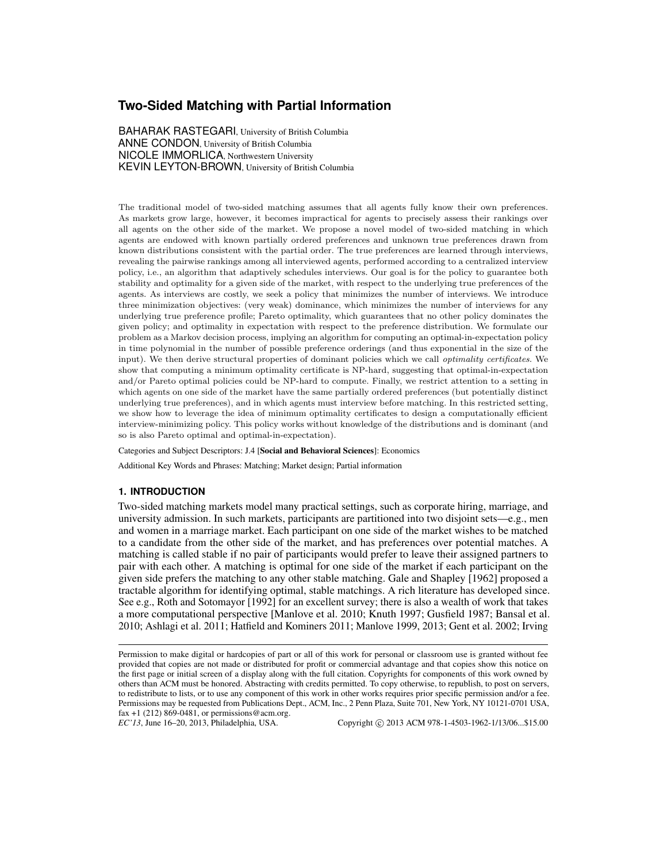# **Two-Sided Matching with Partial Information**

BAHARAK RASTEGARI, University of British Columbia ANNE CONDON, University of British Columbia NICOLE IMMORLICA, Northwestern University KEVIN LEYTON-BROWN, University of British Columbia

The traditional model of two-sided matching assumes that all agents fully know their own preferences. As markets grow large, however, it becomes impractical for agents to precisely assess their rankings over all agents on the other side of the market. We propose a novel model of two-sided matching in which agents are endowed with known partially ordered preferences and unknown true preferences drawn from known distributions consistent with the partial order. The true preferences are learned through interviews, revealing the pairwise rankings among all interviewed agents, performed according to a centralized interview policy, i.e., an algorithm that adaptively schedules interviews. Our goal is for the policy to guarantee both stability and optimality for a given side of the market, with respect to the underlying true preferences of the agents. As interviews are costly, we seek a policy that minimizes the number of interviews. We introduce three minimization objectives: (very weak) dominance, which minimizes the number of interviews for any underlying true preference profile; Pareto optimality, which guarantees that no other policy dominates the given policy; and optimality in expectation with respect to the preference distribution. We formulate our problem as a Markov decision process, implying an algorithm for computing an optimal-in-expectation policy in time polynomial in the number of possible preference orderings (and thus exponential in the size of the input). We then derive structural properties of dominant policies which we call optimality certificates. We show that computing a minimum optimality certificate is NP-hard, suggesting that optimal-in-expectation and/or Pareto optimal policies could be NP-hard to compute. Finally, we restrict attention to a setting in which agents on one side of the market have the same partially ordered preferences (but potentially distinct underlying true preferences), and in which agents must interview before matching. In this restricted setting, we show how to leverage the idea of minimum optimality certificates to design a computationally efficient interview-minimizing policy. This policy works without knowledge of the distributions and is dominant (and so is also Pareto optimal and optimal-in-expectation).

Categories and Subject Descriptors: J.4 [Social and Behavioral Sciences]: Economics

Additional Key Words and Phrases: Matching; Market design; Partial information

# **1. INTRODUCTION**

Two-sided matching markets model many practical settings, such as corporate hiring, marriage, and university admission. In such markets, participants are partitioned into two disjoint sets—e.g., men and women in a marriage market. Each participant on one side of the market wishes to be matched to a candidate from the other side of the market, and has preferences over potential matches. A matching is called stable if no pair of participants would prefer to leave their assigned partners to pair with each other. A matching is optimal for one side of the market if each participant on the given side prefers the matching to any other stable matching. Gale and Shapley [1962] proposed a tractable algorithm for identifying optimal, stable matchings. A rich literature has developed since. See e.g., Roth and Sotomayor [1992] for an excellent survey; there is also a wealth of work that takes a more computational perspective [Manlove et al. 2010; Knuth 1997; Gusfield 1987; Bansal et al. 2010; Ashlagi et al. 2011; Hatfield and Kominers 2011; Manlove 1999, 2013; Gent et al. 2002; Irving

Permission to make digital or hardcopies of part or all of this work for personal or classroom use is granted without fee provided that copies are not made or distributed for profit or commercial advantage and that copies show this notice on the first page or initial screen of a display along with the full citation. Copyrights for components of this work owned by others than ACM must be honored. Abstracting with credits permitted. To copy otherwise, to republish, to post on servers, to redistribute to lists, or to use any component of this work in other works requires prior specific permission and/or a fee. Permissions may be requested from Publications Dept., ACM, Inc., 2 Penn Plaza, Suite 701, New York, NY 10121-0701 USA, fax +1 (212) 869-0481, or permissions@acm.org.  $EC'13$ , June 16–20, 2013, Philadelphia, USA.

Copyright © 2013 ACM 978-1-4503-1962-1/13/06...\$15.00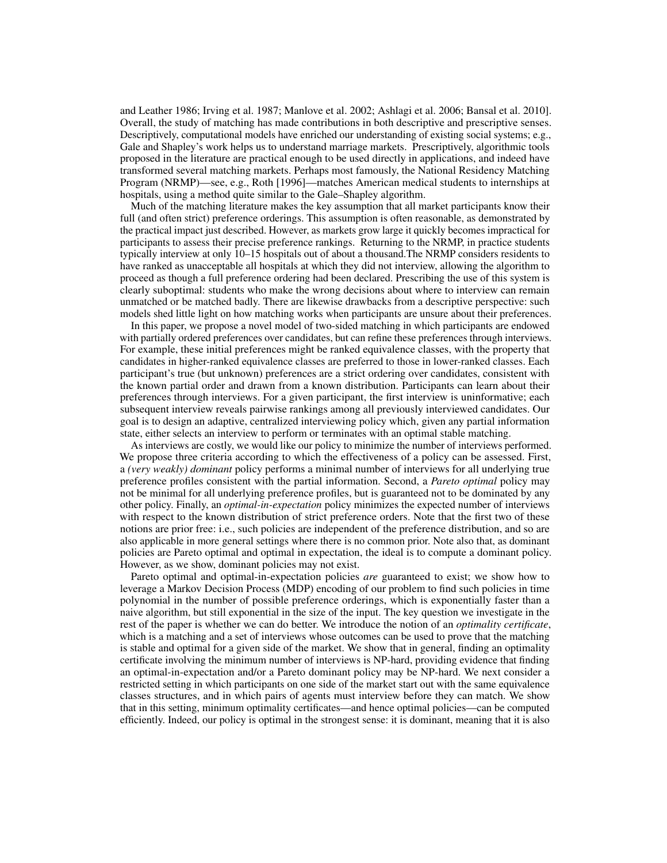and Leather 1986; Irving et al. 1987; Manlove et al. 2002; Ashlagi et al. 2006; Bansal et al. 2010]. Overall, the study of matching has made contributions in both descriptive and prescriptive senses. Descriptively, computational models have enriched our understanding of existing social systems; e.g., Gale and Shapley's work helps us to understand marriage markets. Prescriptively, algorithmic tools proposed in the literature are practical enough to be used directly in applications, and indeed have transformed several matching markets. Perhaps most famously, the National Residency Matching Program (NRMP)—see, e.g., Roth [1996]—matches American medical students to internships at hospitals, using a method quite similar to the Gale–Shapley algorithm.

Much of the matching literature makes the key assumption that all market participants know their full (and often strict) preference orderings. This assumption is often reasonable, as demonstrated by the practical impact just described. However, as markets grow large it quickly becomes impractical for participants to assess their precise preference rankings. Returning to the NRMP, in practice students typically interview at only 10–15 hospitals out of about a thousand.The NRMP considers residents to have ranked as unacceptable all hospitals at which they did not interview, allowing the algorithm to proceed as though a full preference ordering had been declared. Prescribing the use of this system is clearly suboptimal: students who make the wrong decisions about where to interview can remain unmatched or be matched badly. There are likewise drawbacks from a descriptive perspective: such models shed little light on how matching works when participants are unsure about their preferences.

In this paper, we propose a novel model of two-sided matching in which participants are endowed with partially ordered preferences over candidates, but can refine these preferences through interviews. For example, these initial preferences might be ranked equivalence classes, with the property that candidates in higher-ranked equivalence classes are preferred to those in lower-ranked classes. Each participant's true (but unknown) preferences are a strict ordering over candidates, consistent with the known partial order and drawn from a known distribution. Participants can learn about their preferences through interviews. For a given participant, the first interview is uninformative; each subsequent interview reveals pairwise rankings among all previously interviewed candidates. Our goal is to design an adaptive, centralized interviewing policy which, given any partial information state, either selects an interview to perform or terminates with an optimal stable matching.

As interviews are costly, we would like our policy to minimize the number of interviews performed. We propose three criteria according to which the effectiveness of a policy can be assessed. First, a *(very weakly) dominant* policy performs a minimal number of interviews for all underlying true preference profiles consistent with the partial information. Second, a *Pareto optimal* policy may not be minimal for all underlying preference profiles, but is guaranteed not to be dominated by any other policy. Finally, an *optimal-in-expectation* policy minimizes the expected number of interviews with respect to the known distribution of strict preference orders. Note that the first two of these notions are prior free: i.e., such policies are independent of the preference distribution, and so are also applicable in more general settings where there is no common prior. Note also that, as dominant policies are Pareto optimal and optimal in expectation, the ideal is to compute a dominant policy. However, as we show, dominant policies may not exist.

Pareto optimal and optimal-in-expectation policies *are* guaranteed to exist; we show how to leverage a Markov Decision Process (MDP) encoding of our problem to find such policies in time polynomial in the number of possible preference orderings, which is exponentially faster than a naive algorithm, but still exponential in the size of the input. The key question we investigate in the rest of the paper is whether we can do better. We introduce the notion of an *optimality certificate*, which is a matching and a set of interviews whose outcomes can be used to prove that the matching is stable and optimal for a given side of the market. We show that in general, finding an optimality certificate involving the minimum number of interviews is NP-hard, providing evidence that finding an optimal-in-expectation and/or a Pareto dominant policy may be NP-hard. We next consider a restricted setting in which participants on one side of the market start out with the same equivalence classes structures, and in which pairs of agents must interview before they can match. We show that in this setting, minimum optimality certificates—and hence optimal policies—can be computed efficiently. Indeed, our policy is optimal in the strongest sense: it is dominant, meaning that it is also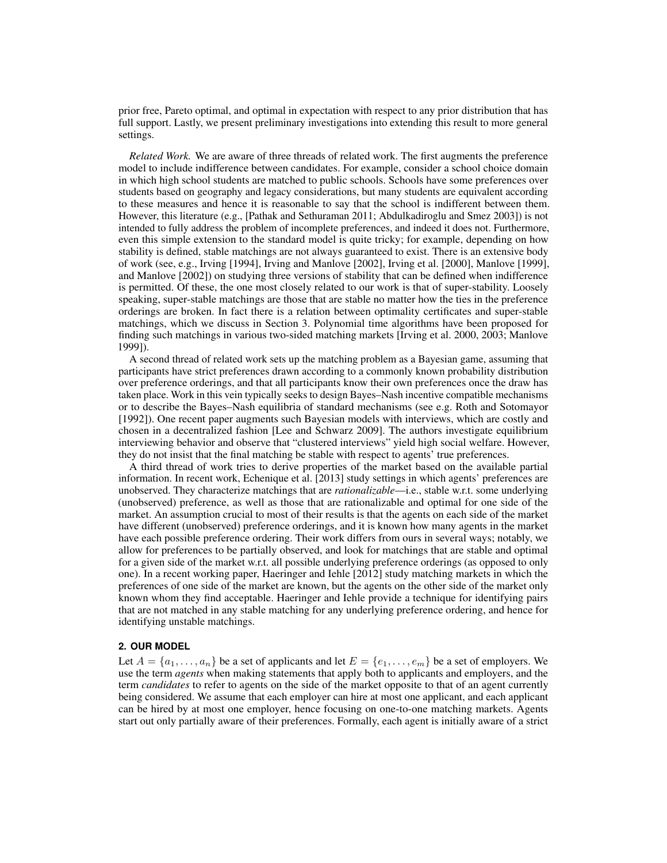prior free, Pareto optimal, and optimal in expectation with respect to any prior distribution that has full support. Lastly, we present preliminary investigations into extending this result to more general settings.

*Related Work.* We are aware of three threads of related work. The first augments the preference model to include indifference between candidates. For example, consider a school choice domain in which high school students are matched to public schools. Schools have some preferences over students based on geography and legacy considerations, but many students are equivalent according to these measures and hence it is reasonable to say that the school is indifferent between them. However, this literature (e.g., [Pathak and Sethuraman 2011; Abdulkadiroglu and Smez 2003]) is not intended to fully address the problem of incomplete preferences, and indeed it does not. Furthermore, even this simple extension to the standard model is quite tricky; for example, depending on how stability is defined, stable matchings are not always guaranteed to exist. There is an extensive body of work (see, e.g., Irving [1994], Irving and Manlove [2002], Irving et al. [2000], Manlove [1999], and Manlove [2002]) on studying three versions of stability that can be defined when indifference is permitted. Of these, the one most closely related to our work is that of super-stability. Loosely speaking, super-stable matchings are those that are stable no matter how the ties in the preference orderings are broken. In fact there is a relation between optimality certificates and super-stable matchings, which we discuss in Section 3. Polynomial time algorithms have been proposed for finding such matchings in various two-sided matching markets [Irving et al. 2000, 2003; Manlove 1999]).

A second thread of related work sets up the matching problem as a Bayesian game, assuming that participants have strict preferences drawn according to a commonly known probability distribution over preference orderings, and that all participants know their own preferences once the draw has taken place. Work in this vein typically seeks to design Bayes–Nash incentive compatible mechanisms or to describe the Bayes–Nash equilibria of standard mechanisms (see e.g. Roth and Sotomayor [1992]). One recent paper augments such Bayesian models with interviews, which are costly and chosen in a decentralized fashion [Lee and Schwarz 2009]. The authors investigate equilibrium interviewing behavior and observe that "clustered interviews" yield high social welfare. However, they do not insist that the final matching be stable with respect to agents' true preferences.

A third thread of work tries to derive properties of the market based on the available partial information. In recent work, Echenique et al. [2013] study settings in which agents' preferences are unobserved. They characterize matchings that are *rationalizable*—i.e., stable w.r.t. some underlying (unobserved) preference, as well as those that are rationalizable and optimal for one side of the market. An assumption crucial to most of their results is that the agents on each side of the market have different (unobserved) preference orderings, and it is known how many agents in the market have each possible preference ordering. Their work differs from ours in several ways; notably, we allow for preferences to be partially observed, and look for matchings that are stable and optimal for a given side of the market w.r.t. all possible underlying preference orderings (as opposed to only one). In a recent working paper, Haeringer and Iehle [2012] study matching markets in which the preferences of one side of the market are known, but the agents on the other side of the market only known whom they find acceptable. Haeringer and Iehle provide a technique for identifying pairs that are not matched in any stable matching for any underlying preference ordering, and hence for identifying unstable matchings.

# **2. OUR MODEL**

Let  $A = \{a_1, \ldots, a_n\}$  be a set of applicants and let  $E = \{e_1, \ldots, e_m\}$  be a set of employers. We use the term *agents* when making statements that apply both to applicants and employers, and the term *candidates* to refer to agents on the side of the market opposite to that of an agent currently being considered. We assume that each employer can hire at most one applicant, and each applicant can be hired by at most one employer, hence focusing on one-to-one matching markets. Agents start out only partially aware of their preferences. Formally, each agent is initially aware of a strict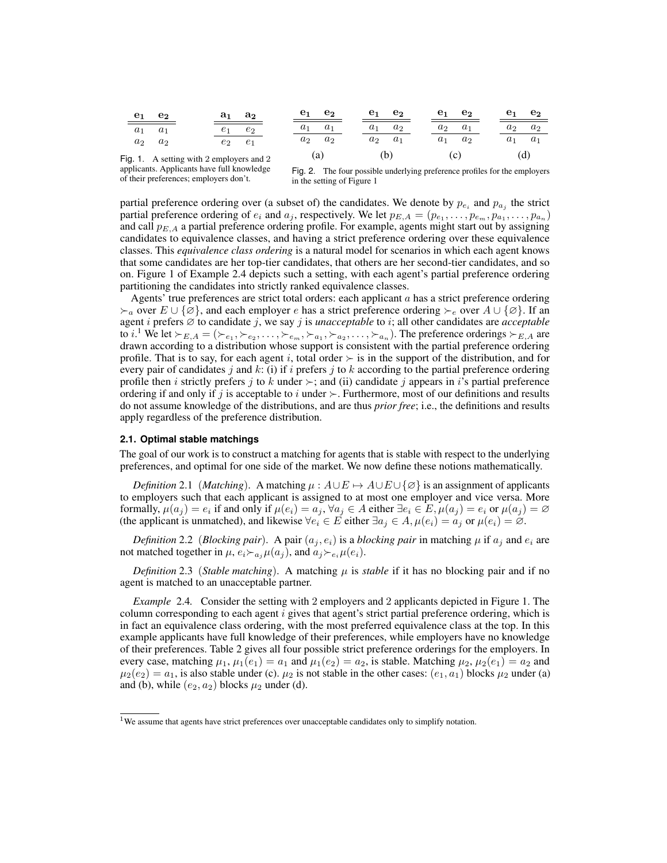| $\mathbf{e}_1$ | e <sub>2</sub>                                  |                | $a_1 \quad a_2$ | $e_1$ | $e_2$ | e <sub>1</sub> | $\mathbf{e_{2}}$ | $\mathbf{e}_1$ | e <sub>2</sub> | e <sub>1</sub> | e <sub>2</sub> |
|----------------|-------------------------------------------------|----------------|-----------------|-------|-------|----------------|------------------|----------------|----------------|----------------|----------------|
| $a_1$          | $a_1$                                           | e <sub>1</sub> | Сo              | $a_1$ | $a_1$ | $a_1$          | a <sub>2</sub>   | $a_2$          | $a_1$          | $a_2$          | a <sub>2</sub> |
| $a_2$          | $a_2$                                           | $e_2$          | $e_1$           | $a_2$ | $a_2$ | $a_2$          | $a_1$            | $a_1$          | $a_2$          | $a_1$          | $a_1$          |
|                | $\mathbf{a}$ 1 A setting with 2 employers and 2 |                |                 |       | (a)   |                | (b)              |                | (c)            |                | (d)            |

Fig. 1. A setting with 2 employers and 2 applicants. Applicants have full knowledge of their preferences; employers don't.

Fig. 2. The four possible underlying preference profiles for the employers in the setting of Figure 1

partial preference ordering over (a subset of) the candidates. We denote by  $p_{e_i}$  and  $p_{a_j}$  the strict partial preference ordering of  $e_i$  and  $a_j$ , respectively. We let  $p_{E,A} = (p_{e_1}, \ldots, p_{e_m}, p_{a_1}, \ldots, p_{a_n})$ and call  $p_{E,A}$  a partial preference ordering profile. For example, agents might start out by assigning candidates to equivalence classes, and having a strict preference ordering over these equivalence classes. This *equivalence class ordering* is a natural model for scenarios in which each agent knows that some candidates are her top-tier candidates, that others are her second-tier candidates, and so on. Figure 1 of Example 2.4 depicts such a setting, with each agent's partial preference ordering partitioning the candidates into strictly ranked equivalence classes.

Agents' true preferences are strict total orders: each applicant  $a$  has a strict preference ordering  $\succ_a$  over  $E \cup \{\emptyset\}$ , and each employer e has a strict preference ordering  $\succ_e$  over  $A \cup \{\emptyset\}$ . If an agent i prefers ∅ to candidate j, we say j is *unacceptable* to i; all other candidates are *acceptable* to *i*.<sup>1</sup> We let  $\succ_{E,A} = (\succ_{e_1}, \succ_{e_2}, \ldots, \succ_{e_m}, \succ_{a_1}, \succ_{a_2}, \ldots, \succ_{a_n})$ . The preference orderings  $\succ_{E,A}$  are drawn according to a distribution whose support is consistent with the partial preference ordering profile. That is to say, for each agent i, total order  $\succ$  is in the support of the distribution, and for every pair of candidates j and k: (i) if i prefers j to k according to the partial preference ordering profile then i strictly prefers j to k under  $\succ$ ; and (ii) candidate j appears in i's partial preference ordering if and only if j is acceptable to i under  $\succ$ . Furthermore, most of our definitions and results do not assume knowledge of the distributions, and are thus *prior free*; i.e., the definitions and results apply regardless of the preference distribution.

#### **2.1. Optimal stable matchings**

The goal of our work is to construct a matching for agents that is stable with respect to the underlying preferences, and optimal for one side of the market. We now define these notions mathematically.

*Definition* 2.1 (*Matching*). A matching  $\mu : A \cup E \mapsto A \cup E \cup \{\emptyset\}$  is an assignment of applicants to employers such that each applicant is assigned to at most one employer and vice versa. More formally,  $\mu(a_j) = e_i$  if and only if  $\mu(e_i) = a_j, \forall a_j \in A$  either  $\exists e_i \in E, \mu(a_j) = e_i$  or  $\mu(a_j) = \emptyset$ (the applicant is unmatched), and likewise  $\forall e_i \in E$  either  $\exists a_j \in A$ ,  $\mu(e_i) = a_j$  or  $\mu(e_i) = \emptyset$ .

*Definition* 2.2 (*Blocking pair*). A pair  $(a_i, e_i)$  is a *blocking pair* in matching  $\mu$  if  $a_i$  and  $e_i$  are not matched together in  $\mu$ ,  $e_i \rightarrow a_i \mu(a_i)$ , and  $a_i \rightarrow e_i \mu(e_i)$ .

*Definition* 2.3 (*Stable matching*). A matching  $\mu$  is *stable* if it has no blocking pair and if no agent is matched to an unacceptable partner.

*Example* 2.4*.* Consider the setting with 2 employers and 2 applicants depicted in Figure 1. The column corresponding to each agent  $i$  gives that agent's strict partial preference ordering, which is in fact an equivalence class ordering, with the most preferred equivalence class at the top. In this example applicants have full knowledge of their preferences, while employers have no knowledge of their preferences. Table 2 gives all four possible strict preference orderings for the employers. In every case, matching  $\mu_1, \mu_1(e_1) = a_1$  and  $\mu_1(e_2) = a_2$ , is stable. Matching  $\mu_2, \mu_2(e_1) = a_2$  and  $\mu_2(e_2) = a_1$ , is also stable under (c).  $\mu_2$  is not stable in the other cases:  $(e_1, a_1)$  blocks  $\mu_2$  under (a) and (b), while  $(e_2, a_2)$  blocks  $\mu_2$  under (d).

 $1$ We assume that agents have strict preferences over unacceptable candidates only to simplify notation.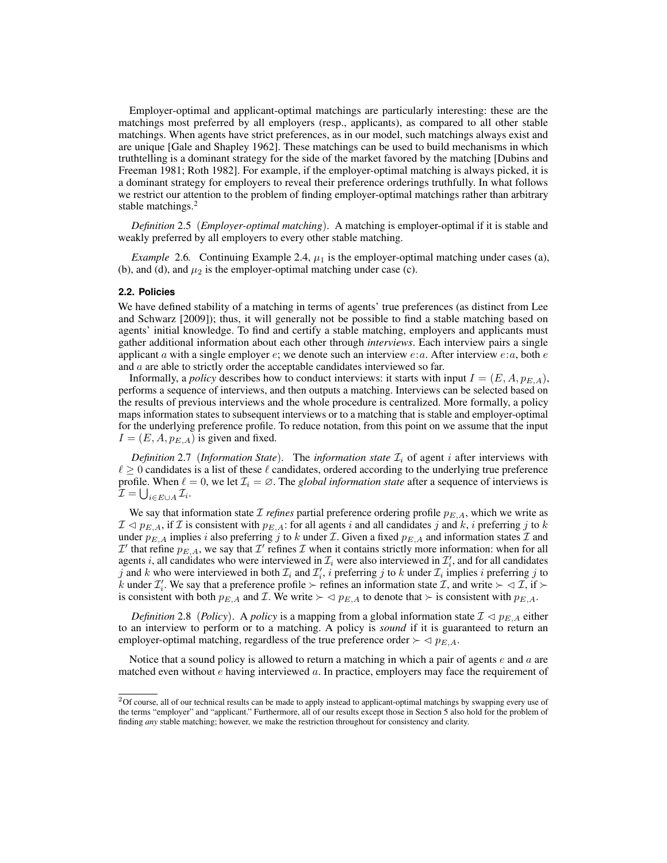Employer-optimal and applicant-optimal matchings are particularly interesting: these are the matchings most preferred by all employers (resp., applicants), as compared to all other stable matchings. When agents have strict preferences, as in our model, such matchings always exist and are unique [Gale and Shapley 1962]. These matchings can be used to build mechanisms in which truthtelling is a dominant strategy for the side of the market favored by the matching [Dubins and Freeman 1981; Roth 1982]. For example, if the employer-optimal matching is always picked, it is a dominant strategy for employers to reveal their preference orderings truthfully. In what follows we restrict our attention to the problem of finding employer-optimal matchings rather than arbitrary stable matchings.<sup>2</sup>

*Definition* 2.5 (*Employer-optimal matching*). A matching is employer-optimal if it is stable and weakly preferred by all employers to every other stable matching.

*Example* 2.6*.* Continuing Example 2.4,  $\mu_1$  is the employer-optimal matching under cases (a), (b), and (d), and  $\mu_2$  is the employer-optimal matching under case (c).

### **2.2. Policies**

We have defined stability of a matching in terms of agents' true preferences (as distinct from Lee and Schwarz [2009]); thus, it will generally not be possible to find a stable matching based on agents' initial knowledge. To find and certify a stable matching, employers and applicants must gather additional information about each other through *interviews*. Each interview pairs a single applicant a with a single employer  $e$ ; we denote such an interview  $e:a$ . After interview  $e:a$ , both  $e$ and a are able to strictly order the acceptable candidates interviewed so far.

Informally, a *policy* describes how to conduct interviews: it starts with input  $I = (E, A, p_{E,A})$ , performs a sequence of interviews, and then outputs a matching. Interviews can be selected based on the results of previous interviews and the whole procedure is centralized. More formally, a policy maps information states to subsequent interviews or to a matching that is stable and employer-optimal for the underlying preference profile. To reduce notation, from this point on we assume that the input  $I = (E, A, p_{E, A})$  is given and fixed.

*Definition* 2.7 (*Information State*). The *information state*  $\mathcal{I}_i$  of agent *i* after interviews with  $\ell \geq 0$  candidates is a list of these  $\ell$  candidates, ordered according to the underlying true preference profile. When  $\ell = 0$ , we let  $\mathcal{I}_i = \emptyset$ . The *global information state* after a sequence of interviews is  $\mathcal{I} = \bigcup_{i \in E \cup A} \mathcal{I}_i.$ 

We say that information state  $\mathcal I$  *refines* partial preference ordering profile  $p_{E,A}$ , which we write as  $\mathcal{I} \lhd p_{E,A}$ , if  $\mathcal{I}$  is consistent with  $p_{E,A}$ : for all agents i and all candidates j and k, i preferring j to k under  $p_{E,A}$  implies i also preferring j to k under  $\mathcal I$ . Given a fixed  $p_{E,A}$  and information states  $\mathcal I$  and  $\mathcal{I}'$  that refine  $p_{E,A}$ , we say that  $\mathcal{I}'$  refines  $\mathcal I$  when it contains strictly more information: when for all agents i, all candidates who were interviewed in  $\mathcal{I}_i$  were also interviewed in  $\mathcal{I}'_i$ , and for all candidates j and k who were interviewed in both  $\mathcal{I}_i$  and  $\mathcal{I}'_i$ , i preferring j to k under  $\mathcal{I}_i$  implies i preferring j to k under  $\mathcal{I}'_i$ . We say that a preference profile  $\succ$  refines an information state  $\mathcal{I}$ , and write  $\succ \lhd \mathcal{I}$ , if  $\succ$ is consistent with both  $p_{E,A}$  and  $\mathcal{I}$ . We write  $\succ \lhd p_{E,A}$  to denote that  $\succ$  is consistent with  $p_{E,A}$ .

*Definition* 2.8 (*Policy*). A *policy* is a mapping from a global information state  $\mathcal{I} \lhd p_{E,A}$  either to an interview to perform or to a matching. A policy is *sound* if it is guaranteed to return an employer-optimal matching, regardless of the true preference order  $\succ \lhd p_{E,A}$ .

Notice that a sound policy is allowed to return a matching in which a pair of agents  $e$  and  $a$  are matched even without  $e$  having interviewed  $a$ . In practice, employers may face the requirement of

 $2$ Of course, all of our technical results can be made to apply instead to applicant-optimal matchings by swapping every use of the terms "employer" and "applicant." Furthermore, all of our results except those in Section 5 also hold for the problem of finding *any* stable matching; however, we make the restriction throughout for consistency and clarity.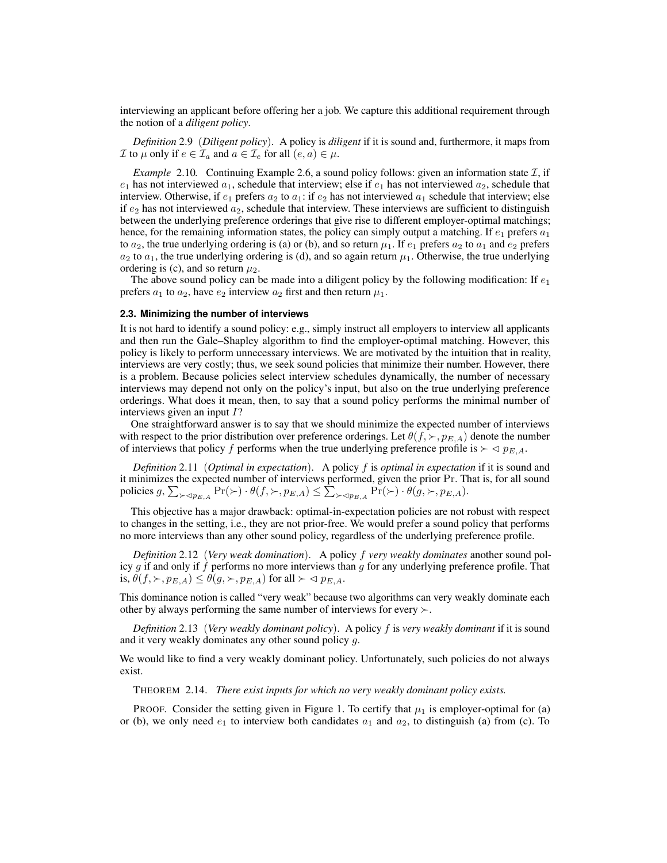interviewing an applicant before offering her a job. We capture this additional requirement through the notion of a *diligent policy*.

*Definition* 2.9 (*Diligent policy*). A policy is *diligent* if it is sound and, furthermore, it maps from  $\mathcal I$  to  $\mu$  only if  $e \in \mathcal I_a$  and  $a \in \mathcal I_e$  for all  $(e, a) \in \mu$ .

*Example* 2.10*.* Continuing Example 2.6, a sound policy follows: given an information state  $I$ , if  $e_1$  has not interviewed  $a_1$ , schedule that interview; else if  $e_1$  has not interviewed  $a_2$ , schedule that interview. Otherwise, if  $e_1$  prefers  $a_2$  to  $a_1$ : if  $e_2$  has not interviewed  $a_1$  schedule that interview; else if  $e_2$  has not interviewed  $a_2$ , schedule that interview. These interviews are sufficient to distinguish between the underlying preference orderings that give rise to different employer-optimal matchings; hence, for the remaining information states, the policy can simply output a matching. If  $e_1$  prefers  $a_1$ to  $a_2$ , the true underlying ordering is (a) or (b), and so return  $\mu_1$ . If  $e_1$  prefers  $a_2$  to  $a_1$  and  $e_2$  prefers  $a_2$  to  $a_1$ , the true underlying ordering is (d), and so again return  $\mu_1$ . Otherwise, the true underlying ordering is (c), and so return  $\mu_2$ .

The above sound policy can be made into a diligent policy by the following modification: If  $e_1$ prefers  $a_1$  to  $a_2$ , have  $e_2$  interview  $a_2$  first and then return  $\mu_1$ .

#### **2.3. Minimizing the number of interviews**

It is not hard to identify a sound policy: e.g., simply instruct all employers to interview all applicants and then run the Gale–Shapley algorithm to find the employer-optimal matching. However, this policy is likely to perform unnecessary interviews. We are motivated by the intuition that in reality, interviews are very costly; thus, we seek sound policies that minimize their number. However, there is a problem. Because policies select interview schedules dynamically, the number of necessary interviews may depend not only on the policy's input, but also on the true underlying preference orderings. What does it mean, then, to say that a sound policy performs the minimal number of interviews given an input I?

One straightforward answer is to say that we should minimize the expected number of interviews with respect to the prior distribution over preference orderings. Let  $\theta(f, \succ, p_{E,A})$  denote the number of interviews that policy f performs when the true underlying preference profile is  $\succ \neg p_{E,A}$ .

*Definition* 2.11 (*Optimal in expectation*). A policy f is *optimal in expectation* if it is sound and it minimizes the expected number of interviews performed, given the prior Pr. That is, for all sound policies  $g$ ,  $\sum_{\succ \lhd p_{E,A}} \Pr(\succ) \cdot \theta(f, \succ, p_{E,A}) \leq \sum_{\succ \lhd p_{E,A}} \Pr(\succ) \cdot \theta(g, \succ, p_{E,A}).$ 

This objective has a major drawback: optimal-in-expectation policies are not robust with respect to changes in the setting, i.e., they are not prior-free. We would prefer a sound policy that performs no more interviews than any other sound policy, regardless of the underlying preference profile.

*Definition* 2.12 (*Very weak domination*). A policy f *very weakly dominates* another sound policy  $g$  if and only if  $f$  performs no more interviews than  $g$  for any underlying preference profile. That is,  $\theta(f, \succ, p_{E,A}) \leq \theta(g, \succ, p_{E,A})$  for all  $\succ \lhd p_{E,A}$ .

This dominance notion is called "very weak" because two algorithms can very weakly dominate each other by always performing the same number of interviews for every  $\succ$ .

*Definition* 2.13 (*Very weakly dominant policy*). A policy f is *very weakly dominant* if it is sound and it very weakly dominates any other sound policy g.

We would like to find a very weakly dominant policy. Unfortunately, such policies do not always exist.

THEOREM 2.14. *There exist inputs for which no very weakly dominant policy exists.*

PROOF. Consider the setting given in Figure 1. To certify that  $\mu_1$  is employer-optimal for (a) or (b), we only need  $e_1$  to interview both candidates  $a_1$  and  $a_2$ , to distinguish (a) from (c). To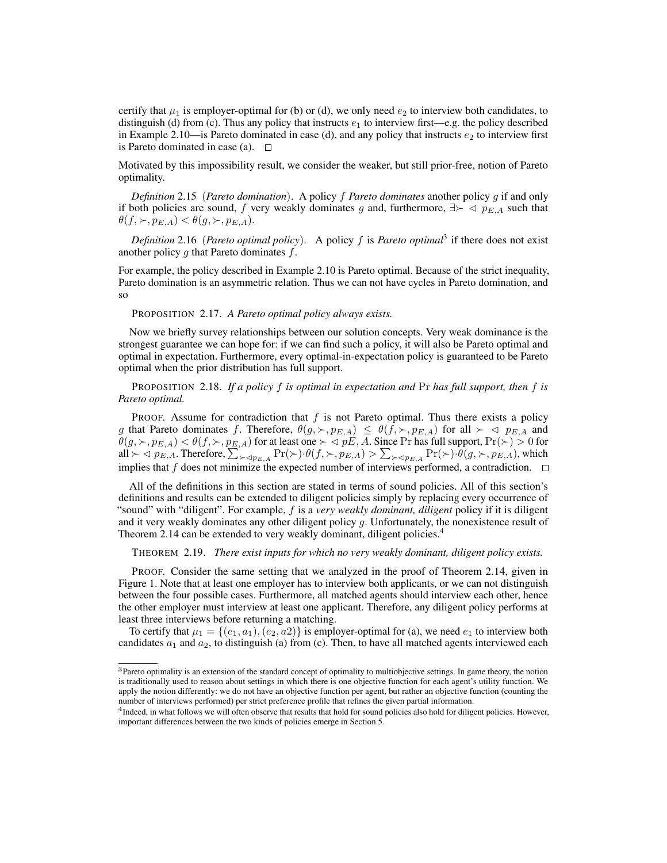certify that  $\mu_1$  is employer-optimal for (b) or (d), we only need  $e_2$  to interview both candidates, to distinguish (d) from (c). Thus any policy that instructs  $e_1$  to interview first—e.g. the policy described in Example 2.10—is Pareto dominated in case (d), and any policy that instructs  $e_2$  to interview first is Pareto dominated in case (a).  $\square$ 

Motivated by this impossibility result, we consider the weaker, but still prior-free, notion of Pareto optimality.

*Definition* 2.15 (*Pareto domination*). A policy f *Pareto dominates* another policy g if and only if both policies are sound, f very weakly dominates g and, furthermore,  $\exists \succ \prec p_{E,A}$  such that  $\theta(f, \succ, p_{E,A}) < \theta(g, \succ, p_{E,A}).$ 

*Definition* 2.16 (*Pareto optimal policy*). A policy f is *Pareto optimal*<sup>3</sup> if there does not exist another policy  $g$  that Pareto dominates  $f$ .

For example, the policy described in Example 2.10 is Pareto optimal. Because of the strict inequality, Pareto domination is an asymmetric relation. Thus we can not have cycles in Pareto domination, and so

PROPOSITION 2.17. *A Pareto optimal policy always exists.*

Now we briefly survey relationships between our solution concepts. Very weak dominance is the strongest guarantee we can hope for: if we can find such a policy, it will also be Pareto optimal and optimal in expectation. Furthermore, every optimal-in-expectation policy is guaranteed to be Pareto optimal when the prior distribution has full support.

PROPOSITION 2.18. *If a policy* f *is optimal in expectation and* Pr *has full support, then* f *is Pareto optimal.*

PROOF. Assume for contradiction that  $f$  is not Pareto optimal. Thus there exists a policy g that Pareto dominates f. Therefore,  $\theta(g, \succ, p_{E,A}) \leq \theta(f, \succ, p_{E,A})$  for all  $\succ \prec p_{E,A}$  and  $\theta(g, \succ, p_{E,A}) < \theta(f, \succ, p_{E,A})$  for at least one  $\succ \lhd pE, A$ . Since Pr has full support,  $\Pr(\succ) > 0$  for all  $\succ \lhd p_{E,A}$ . Therefore,  $\sum_{\succ \lhd p_{E,A}} \Pr(\succ) \cdot \theta(f, \succ, p_{E,A}) > \sum_{\succ \lhd p_{E,A}} \Pr(\succ) \cdot \theta(g, \succ, p_{E,A})$ , which implies that f does not minimize the expected number of interviews performed, a contradiction.  $\square$ 

All of the definitions in this section are stated in terms of sound policies. All of this section's definitions and results can be extended to diligent policies simply by replacing every occurrence of "sound" with "diligent". For example, f is a *very weakly dominant, diligent* policy if it is diligent and it very weakly dominates any other diligent policy g. Unfortunately, the nonexistence result of Theorem 2.14 can be extended to very weakly dominant, diligent policies.<sup>4</sup>

THEOREM 2.19. *There exist inputs for which no very weakly dominant, diligent policy exists.*

PROOF. Consider the same setting that we analyzed in the proof of Theorem 2.14, given in Figure 1. Note that at least one employer has to interview both applicants, or we can not distinguish between the four possible cases. Furthermore, all matched agents should interview each other, hence the other employer must interview at least one applicant. Therefore, any diligent policy performs at least three interviews before returning a matching.

To certify that  $\mu_1 = \{(e_1, a_1), (e_2, a_2)\}\$ is employer-optimal for (a), we need  $e_1$  to interview both candidates  $a_1$  and  $a_2$ , to distinguish (a) from (c). Then, to have all matched agents interviewed each

<sup>3</sup>Pareto optimality is an extension of the standard concept of optimality to multiobjective settings. In game theory, the notion is traditionally used to reason about settings in which there is one objective function for each agent's utility function. We apply the notion differently: we do not have an objective function per agent, but rather an objective function (counting the number of interviews performed) per strict preference profile that refines the given partial information.

<sup>&</sup>lt;sup>4</sup> Indeed, in what follows we will often observe that results that hold for sound policies also hold for diligent policies. However, important differences between the two kinds of policies emerge in Section 5.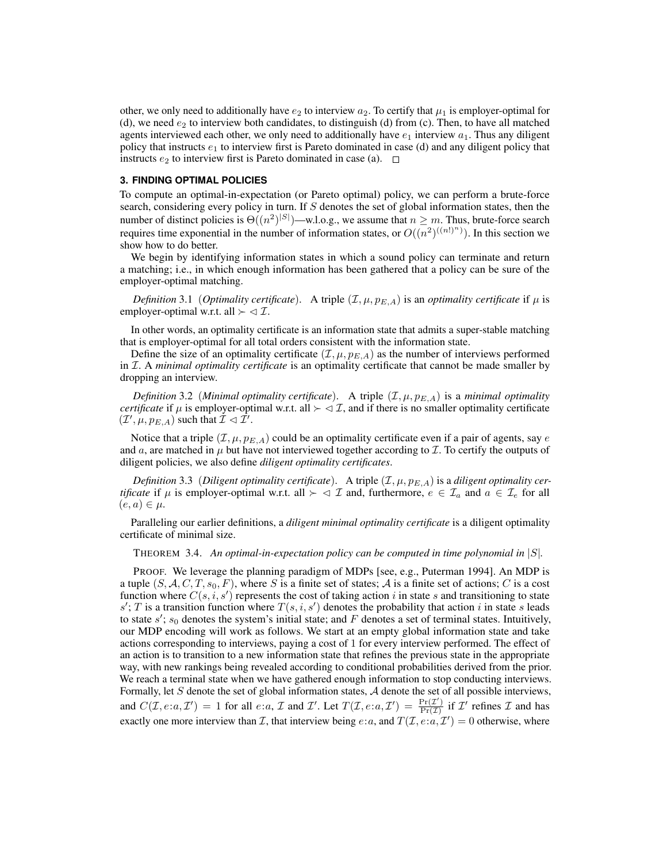other, we only need to additionally have  $e_2$  to interview  $a_2$ . To certify that  $\mu_1$  is employer-optimal for (d), we need  $e_2$  to interview both candidates, to distinguish (d) from (c). Then, to have all matched agents interviewed each other, we only need to additionally have  $e_1$  interview  $a_1$ . Thus any diligent policy that instructs  $e_1$  to interview first is Pareto dominated in case (d) and any diligent policy that instructs  $e_2$  to interview first is Pareto dominated in case (a).  $\Box$ 

### **3. FINDING OPTIMAL POLICIES**

To compute an optimal-in-expectation (or Pareto optimal) policy, we can perform a brute-force search, considering every policy in turn. If S denotes the set of global information states, then the number of distinct policies is  $\Theta((n^2)^{|S|})$ —w.l.o.g., we assume that  $n \geq m$ . Thus, brute-force search requires time exponential in the number of information states, or  $O((n^2)^{((n!)^n)})$ . In this section we show how to do better.

We begin by identifying information states in which a sound policy can terminate and return a matching; i.e., in which enough information has been gathered that a policy can be sure of the employer-optimal matching.

*Definition* 3.1 (*Optimality certificate*). A triple  $(\mathcal{I}, \mu, p_{E,A})$  is an *optimality certificate* if  $\mu$  is employer-optimal w.r.t. all  $\succ \lhd \mathcal{I}$ .

In other words, an optimality certificate is an information state that admits a super-stable matching that is employer-optimal for all total orders consistent with the information state.

Define the size of an optimality certificate  $(\mathcal{I}, \mu, p_{E,A})$  as the number of interviews performed in I. A *minimal optimality certificate* is an optimality certificate that cannot be made smaller by dropping an interview.

*Definition* 3.2 *(Minimal optimality certificate).* A triple  $(\mathcal{I}, \mu, p_{E,A})$  is a *minimal optimality certificate* if  $\mu$  is employer-optimal w.r.t. all  $\succ \langle \mathcal{I} \rangle$ , and if there is no smaller optimality certificate  $(\mathcal{I}', \mu, p_{E,A})$  such that  $\mathcal{I} \lhd \mathcal{I}'$ .

Notice that a triple  $(\mathcal{I}, \mu, p_{E,A})$  could be an optimality certificate even if a pair of agents, say e and a, are matched in  $\mu$  but have not interviewed together according to  $\mathcal I$ . To certify the outputs of diligent policies, we also define *diligent optimality certificates*.

*Definition* 3.3 (*Diligent optimality certificate*). A triple  $(\mathcal{I}, \mu, p_{E,A})$  is a *diligent optimality certificate* if  $\mu$  is employer-optimal w.r.t. all  $\succ \prec \mathcal{I}$  and, furthermore,  $e \in \mathcal{I}_a$  and  $a \in \mathcal{I}_e$  for all  $(e, a) \in \mu$ .

Paralleling our earlier definitions, a *diligent minimal optimality certificate* is a diligent optimality certificate of minimal size.

THEOREM 3.4. *An optimal-in-expectation policy can be computed in time polynomial in* |S|*.*

PROOF. We leverage the planning paradigm of MDPs [see, e.g., Puterman 1994]. An MDP is a tuple  $(S, \mathcal{A}, C, T, s_0, F)$ , where S is a finite set of states; A is a finite set of actions; C is a cost function where  $C(s, i, s')$  represents the cost of taking action i in state s and transitioning to state  $s'$ ; T is a transition function where  $T(s, i, s')$  denotes the probability that action i in state s leads to state  $s'$ ;  $s_0$  denotes the system's initial state; and F denotes a set of terminal states. Intuitively, our MDP encoding will work as follows. We start at an empty global information state and take actions corresponding to interviews, paying a cost of 1 for every interview performed. The effect of an action is to transition to a new information state that refines the previous state in the appropriate way, with new rankings being revealed according to conditional probabilities derived from the prior. We reach a terminal state when we have gathered enough information to stop conducting interviews. Formally, let  $S$  denote the set of global information states,  $A$  denote the set of all possible interviews, and  $C(\mathcal{I}, e: a, \mathcal{I}') = 1$  for all  $e: a, \mathcal{I}$  and  $\mathcal{I}'$ . Let  $T(\mathcal{I}, e: a, \mathcal{I}') = \frac{\Pr(\mathcal{I}')}{\Pr(\mathcal{I})}$  $\frac{\Pr(\mathcal{I})}{\Pr(\mathcal{I})}$  if  $\mathcal{I}'$  refines  $\mathcal I$  and has exactly one more interview than *T*, that interview being  $e:a$ , and  $T(\mathcal{I}, e:a, \mathcal{I}') = 0$  otherwise, where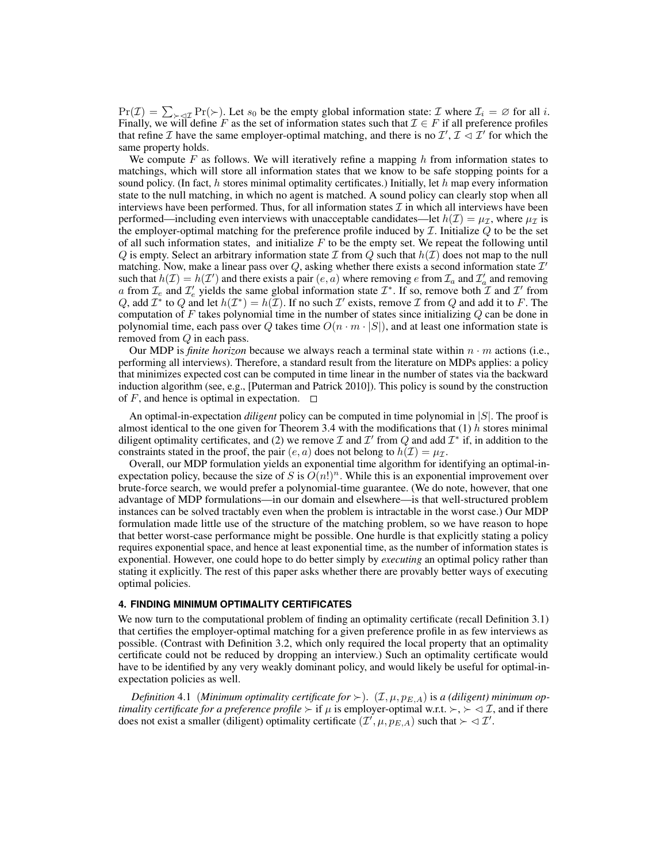$Pr(\mathcal{I}) = \sum_{\geq 1} Pr(\geq)$ . Let  $s_0$  be the empty global information state:  $\mathcal{I}$  where  $\mathcal{I}_i = \emptyset$  for all i. Finally, we will define F as the set of information states such that  $\mathcal{I} \in F$  if all preference profiles that refine *I* have the same employer-optimal matching, and there is no  $\mathcal{I}', \mathcal{I} \lhd \mathcal{I}'$  for which the same property holds.

We compute F as follows. We will iteratively refine a mapping  $h$  from information states to matchings, which will store all information states that we know to be safe stopping points for a sound policy. (In fact, h stores minimal optimality certificates.) Initially, let h map every information state to the null matching, in which no agent is matched. A sound policy can clearly stop when all interviews have been performed. Thus, for all information states  $\mathcal I$  in which all interviews have been performed—including even interviews with unacceptable candidates—let  $h(\mathcal{I}) = \mu_{\mathcal{I}}$ , where  $\mu_{\mathcal{I}}$  is the employer-optimal matching for the preference profile induced by  $I$ . Initialize  $Q$  to be the set of all such information states, and initialize  $F$  to be the empty set. We repeat the following until Q is empty. Select an arbitrary information state  $\mathcal I$  from Q such that  $h(\mathcal I)$  does not map to the null matching. Now, make a linear pass over Q, asking whether there exists a second information state  $\mathcal{I}'$ such that  $h(\mathcal{I}) = h(\mathcal{I}')$  and there exists a pair  $(e, a)$  where removing e from  $\mathcal{I}_a$  and  $\mathcal{I}'_a$  and removing a from  $\mathcal{I}_e$  and  $\mathcal{I}'_e$  yields the same global information state  $\mathcal{I}^*$ . If so, remove both  $\mathcal{I}$  and  $\mathcal{I}'$  from Q, add  $\mathcal{I}^*$  to Q and let  $h(\mathcal{I}^*) = h(\mathcal{I})$ . If no such  $\mathcal{I}'$  exists, remove  $\mathcal{I}$  from Q and add it to F. The computation of  $F$  takes polynomial time in the number of states since initializing  $Q$  can be done in polynomial time, each pass over Q takes time  $O(n \cdot m \cdot |S|)$ , and at least one information state is removed from Q in each pass.

Our MDP is *finite horizon* because we always reach a terminal state within  $n \cdot m$  actions (i.e., performing all interviews). Therefore, a standard result from the literature on MDPs applies: a policy that minimizes expected cost can be computed in time linear in the number of states via the backward induction algorithm (see, e.g., [Puterman and Patrick 2010]). This policy is sound by the construction of F, and hence is optimal in expectation.  $\square$ 

An optimal-in-expectation *diligent* policy can be computed in time polynomial in |S|. The proof is almost identical to the one given for Theorem 3.4 with the modifications that  $(1)$  h stores minimal diligent optimality certificates, and (2) we remove  $\mathcal I$  and  $\mathcal I'$  from  $Q$  and add  $\mathcal I^*$  if, in addition to the constraints stated in the proof, the pair  $(e, a)$  does not belong to  $h(\mathcal{I}) = \mu_{\mathcal{I}}$ .

Overall, our MDP formulation yields an exponential time algorithm for identifying an optimal-inexpectation policy, because the size of S is  $O(n!)^n$ . While this is an exponential improvement over brute-force search, we would prefer a polynomial-time guarantee. (We do note, however, that one advantage of MDP formulations—in our domain and elsewhere—is that well-structured problem instances can be solved tractably even when the problem is intractable in the worst case.) Our MDP formulation made little use of the structure of the matching problem, so we have reason to hope that better worst-case performance might be possible. One hurdle is that explicitly stating a policy requires exponential space, and hence at least exponential time, as the number of information states is exponential. However, one could hope to do better simply by *executing* an optimal policy rather than stating it explicitly. The rest of this paper asks whether there are provably better ways of executing optimal policies.

#### **4. FINDING MINIMUM OPTIMALITY CERTIFICATES**

We now turn to the computational problem of finding an optimality certificate (recall Definition 3.1) that certifies the employer-optimal matching for a given preference profile in as few interviews as possible. (Contrast with Definition 3.2, which only required the local property that an optimality certificate could not be reduced by dropping an interview.) Such an optimality certificate would have to be identified by any very weakly dominant policy, and would likely be useful for optimal-inexpectation policies as well.

*Definition* 4.1 (*Minimum optimality certificate for*  $\succ$ ). (*I*,  $\mu$ ,  $p_{E,A}$ ) is *a* (*diligent*) minimum op*timality certificate for a preference profile*  $\succ$  if  $\mu$  is employer-optimal w.r.t.  $\succ$ ,  $\succ$   $\prec$   $\mathcal{I}$ , and if there does not exist a smaller (diligent) optimality certificate  $(\mathcal{I}', \mu, p_{E,A})$  such that  $\succ \lhd \mathcal{I}'$ .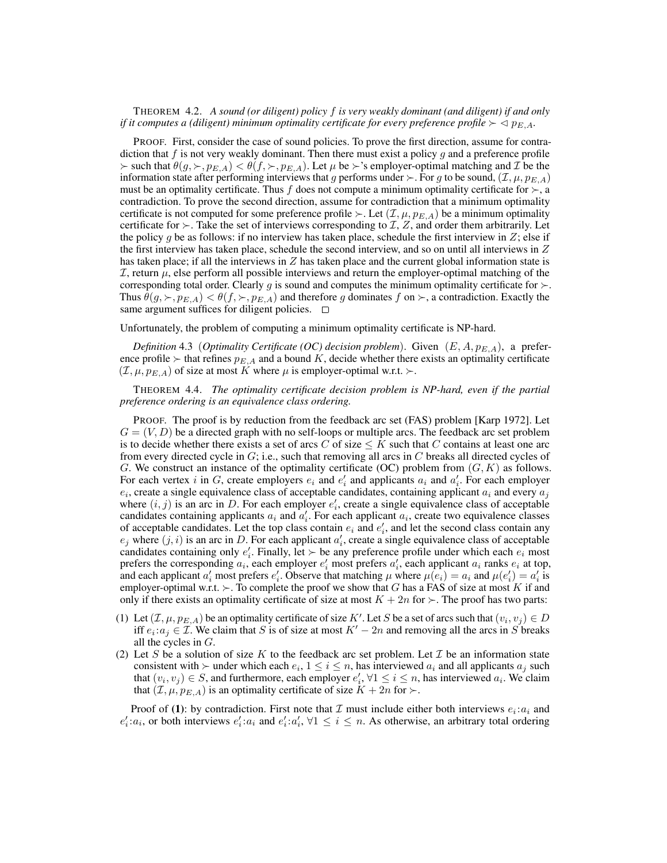THEOREM 4.2. *A sound (or diligent) policy* f *is very weakly dominant (and diligent) if and only if it computes a (diligent) minimum optimality certificate for every preference profile*  $\geq$   $\triangle$   $p_{E,A}$ *.* 

PROOF. First, consider the case of sound policies. To prove the first direction, assume for contradiction that f is not very weakly dominant. Then there must exist a policy g and a preference profile  $\succ$  such that  $\theta(g, \succ, p_{E,A}) < \theta(f, \succ, p_{E,A})$ . Let  $\mu$  be  $\succ$ 's employer-optimal matching and  $\mathcal I$  be the information state after performing interviews that g performs under  $\succ$ . For g to be sound,  $(\mathcal{I}, \mu, p_{E,A})$ must be an optimality certificate. Thus f does not compute a minimum optimality certificate for  $\succ$ , a contradiction. To prove the second direction, assume for contradiction that a minimum optimality certificate is not computed for some preference profile  $\succ$ . Let  $(\mathcal{I}, \mu, p_{E,A})$  be a minimum optimality certificate for  $\succ$ . Take the set of interviews corresponding to  $\mathcal{I}, \mathcal{Z}$ , and order them arbitrarily. Let the policy g be as follows: if no interview has taken place, schedule the first interview in  $Z$ ; else if the first interview has taken place, schedule the second interview, and so on until all interviews in  $Z$ has taken place; if all the interviews in  $Z$  has taken place and the current global information state is  $I$ , return  $\mu$ , else perform all possible interviews and return the employer-optimal matching of the corresponding total order. Clearly g is sound and computes the minimum optimality certificate for  $\succ$ . Thus  $\theta(g, \succ, p_{E,A}) < \theta(f, \succ, p_{E,A})$  and therefore g dominates f on  $\succ$ , a contradiction. Exactly the same argument suffices for diligent policies.  $\square$ 

Unfortunately, the problem of computing a minimum optimality certificate is NP-hard.

*Definition* 4.3 (*Optimality Certificate (OC) decision problem*). Given  $(E, A, p_{E,A})$ , a preference profile  $\succ$  that refines  $p_{E,A}$  and a bound K, decide whether there exists an optimality certificate  $(\mathcal{I}, \mu, p_{E,A})$  of size at most K where  $\mu$  is employer-optimal w.r.t.  $\succ$ .

THEOREM 4.4. *The optimality certificate decision problem is NP-hard, even if the partial preference ordering is an equivalence class ordering.*

PROOF. The proof is by reduction from the feedback arc set (FAS) problem [Karp 1972]. Let  $G = (V, D)$  be a directed graph with no self-loops or multiple arcs. The feedback arc set problem is to decide whether there exists a set of arcs C of size  $\leq K$  such that C contains at least one arc from every directed cycle in  $G$ ; i.e., such that removing all arcs in  $C$  breaks all directed cycles of G. We construct an instance of the optimality certificate (OC) problem from  $(G, K)$  as follows. For each vertex i in G, create employers  $e_i$  and  $e'_i$  and applicants  $a_i$  and  $a'_i$ . For each employer  $e_i$ , create a single equivalence class of acceptable candidates, containing applicant  $a_i$  and every  $a_j$ where  $(i, j)$  is an arc in D. For each employer  $e'_i$ , create a single equivalence class of acceptable candidates containing applicants  $a_i$  and  $a'_i$ . For each applicant  $a_i$ , create two equivalence classes of acceptable candidates. Let the top class contain  $e_i$  and  $e'_i$ , and let the second class contain any  $e_j$  where  $(j, i)$  is an arc in D. For each applicant  $a'_i$ , create a single equivalence class of acceptable candidates containing only  $e'_i$ . Finally, let  $\succ$  be any preference profile under which each  $e_i$  most prefers the corresponding  $a_i$ , each employer  $e'_i$  most prefers  $a'_i$ , each applicant  $a_i$  ranks  $e_i$  at top, and each applicant  $a'_i$  most prefers  $e'_i$ . Observe that matching  $\mu$  where  $\mu(e_i) = a_i$  and  $\mu(e'_i) = a'_i$  is employer-optimal w.r.t.  $\succ$ . To complete the proof we show that G has a FAS of size at most K if and only if there exists an optimality certificate of size at most  $K + 2n$  for  $\succ$ . The proof has two parts:

- (1) Let  $(\mathcal{I}, \mu, p_{E,A})$  be an optimality certificate of size K'. Let S be a set of arcs such that  $(v_i, v_j) \in D$ iff  $e_i : a_j \in \mathcal{I}$ . We claim that S is of size at most  $K' - 2n$  and removing all the arcs in S breaks all the cycles in G.
- (2) Let S be a solution of size K to the feedback arc set problem. Let T be an information state consistent with  $\succ$  under which each  $e_i$ ,  $1 \leq i \leq n$ , has interviewed  $a_i$  and all applicants  $a_j$  such that  $(v_i, v_j) \in S$ , and furthermore, each employer  $e'_i$ ,  $\forall 1 \le i \le n$ , has interviewed  $a_i$ . We claim that  $(\mathcal{I}, \mu, p_{E,A})$  is an optimality certificate of size  $K + 2n$  for  $\succ$ .

Proof of (1): by contradiction. First note that  $\mathcal I$  must include either both interviews  $e_i : a_i$  and  $e'_i$ : $a_i$ , or both interviews  $e'_i$ : $a_i$  and  $e'_i$ : $a'_i$ ,  $\forall 1 \leq i \leq n$ . As otherwise, an arbitrary total ordering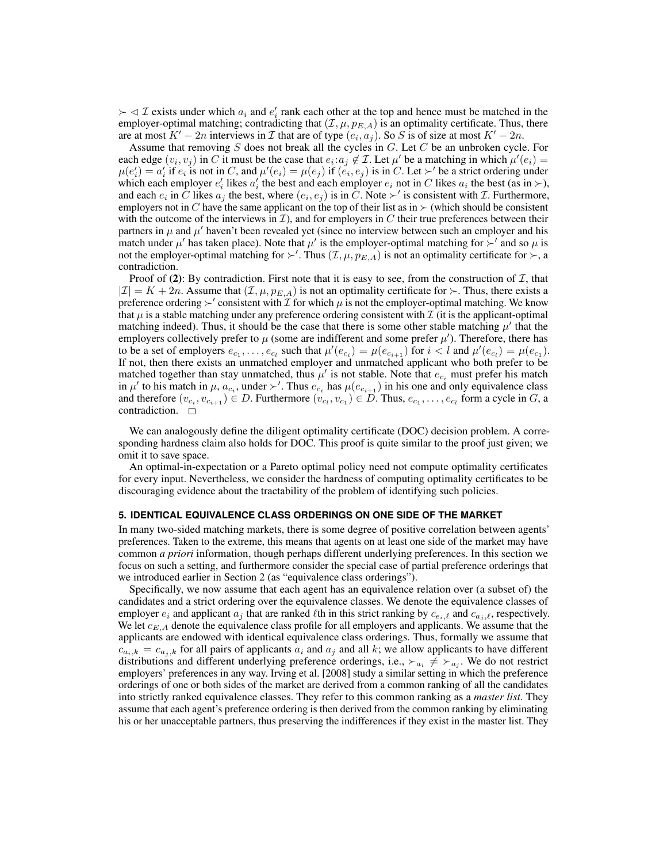$\succ \lhd \mathcal{I}$  exists under which  $a_i$  and  $e'_i$  rank each other at the top and hence must be matched in the employer-optimal matching; contradicting that  $(\mathcal{I}, \mu, p_{E,A})$  is an optimality certificate. Thus, there are at most  $K' - 2n$  interviews in  $\mathcal I$  that are of type  $(e_i, a_j)$ . So  $S$  is of size at most  $K' - 2n$ .

Assume that removing  $S$  does not break all the cycles in  $G$ . Let  $C$  be an unbroken cycle. For each edge  $(v_i, v_j)$  in C it must be the case that  $e_i : a_j \notin \mathcal{I}$ . Let  $\mu'$  be a matching in which  $\mu'(e_i) =$  $\mu(e'_i) = a'_i$  if  $e_i$  is not in C, and  $\mu'(e_i) = \mu(e_j)$  if  $(e_i, e_j)$  is in C. Let  $\succ'$  be a strict ordering under which each employer  $e'_i$  likes  $a'_i$  the best and each employer  $e_i$  not in C likes  $a_i$  the best (as in  $\succ$ ), and each  $e_i$  in  $\tilde{C}$  likes  $a_j$  the best, where  $(e_i, e_j)$  is in  $\tilde{C}$ . Note  $\succ'$  is consistent with  $\mathcal{I}$ . Furthermore, employers not in C have the same applicant on the top of their list as in  $\succ$  (which should be consistent with the outcome of the interviews in  $\mathcal{I}$ ), and for employers in  $C$  their true preferences between their partners in  $\mu$  and  $\mu'$  haven't been revealed yet (since no interview between such an employer and his match under  $\mu'$  has taken place). Note that  $\mu'$  is the employer-optimal matching for  $\geq'$  and so  $\mu$  is not the employer-optimal matching for  $\succ'$ . Thus  $(\mathcal{I}, \mu, p_{E,A})$  is not an optimality certificate for  $\succ$ , a contradiction.

Proof of (2): By contradiction. First note that it is easy to see, from the construction of  $I$ , that  $|Z| = K + 2n$ . Assume that  $(\mathcal{I}, \mu, p_{E,A})$  is not an optimality certificate for  $\succ$ . Thus, there exists a preference ordering  $\succ'$  consistent with  $\mathcal I$  for which  $\mu$  is not the employer-optimal matching. We know that  $\mu$  is a stable matching under any preference ordering consistent with  $\mathcal I$  (it is the applicant-optimal matching indeed). Thus, it should be the case that there is some other stable matching  $\mu'$  that the employers collectively prefer to  $\mu$  (some are indifferent and some prefer  $\mu'$ ). Therefore, there has to be a set of employers  $e_{c_1}, \ldots, e_{c_l}$  such that  $\mu'(e_{c_i}) = \mu(e_{c_{i+1}})$  for  $i < l$  and  $\mu'(e_{c_l}) = \mu(e_{c_1})$ . If not, then there exists an unmatched employer and unmatched applicant who both prefer to be matched together than stay unmatched, thus  $\mu'$  is not stable. Note that  $e_{c_i}$  must prefer his match in  $\mu'$  to his match in  $\mu$ ,  $a_{c_i}$ , under  $\succ'$ . Thus  $e_{c_i}$  has  $\mu(e_{c_{i+1}})$  in his one and only equivalence class and therefore  $(v_{c_i}, v_{c_{i+1}}) \in D$ . Furthermore  $(v_{c_i}, v_{c_1}) \in D$ . Thus,  $e_{c_1}, \ldots, e_{c_l}$  form a cycle in  $G$ , a contradiction.  $\square$ 

We can analogously define the diligent optimality certificate (DOC) decision problem. A corresponding hardness claim also holds for DOC. This proof is quite similar to the proof just given; we omit it to save space.

An optimal-in-expectation or a Pareto optimal policy need not compute optimality certificates for every input. Nevertheless, we consider the hardness of computing optimality certificates to be discouraging evidence about the tractability of the problem of identifying such policies.

#### **5. IDENTICAL EQUIVALENCE CLASS ORDERINGS ON ONE SIDE OF THE MARKET**

In many two-sided matching markets, there is some degree of positive correlation between agents' preferences. Taken to the extreme, this means that agents on at least one side of the market may have common *a priori* information, though perhaps different underlying preferences. In this section we focus on such a setting, and furthermore consider the special case of partial preference orderings that we introduced earlier in Section 2 (as "equivalence class orderings").

Specifically, we now assume that each agent has an equivalence relation over (a subset of) the candidates and a strict ordering over the equivalence classes. We denote the equivalence classes of employer  $e_i$  and applicant  $a_j$  that are ranked  $\ell$ th in this strict ranking by  $c_{e_i,\ell}$  and  $c_{a_j,\ell}$ , respectively. We let  $c_{E,A}$  denote the equivalence class profile for all employers and applicants. We assume that the applicants are endowed with identical equivalence class orderings. Thus, formally we assume that  $c_{a_i,k} = c_{a_j,k}$  for all pairs of applicants  $a_i$  and  $a_j$  and all k; we allow applicants to have different distributions and different underlying preference orderings, i.e.,  $\succ_{a_i} \neq \succ_{a_j}$ . We do not restrict employers' preferences in any way. Irving et al. [2008] study a similar setting in which the preference orderings of one or both sides of the market are derived from a common ranking of all the candidates into strictly ranked equivalence classes. They refer to this common ranking as a *master list*. They assume that each agent's preference ordering is then derived from the common ranking by eliminating his or her unacceptable partners, thus preserving the indifferences if they exist in the master list. They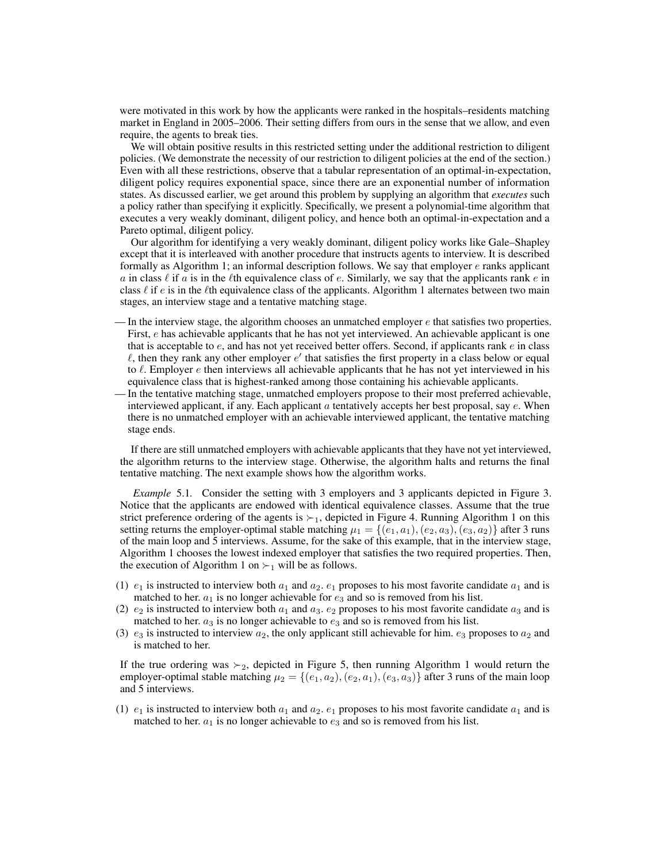were motivated in this work by how the applicants were ranked in the hospitals–residents matching market in England in 2005–2006. Their setting differs from ours in the sense that we allow, and even require, the agents to break ties.

We will obtain positive results in this restricted setting under the additional restriction to diligent policies. (We demonstrate the necessity of our restriction to diligent policies at the end of the section.) Even with all these restrictions, observe that a tabular representation of an optimal-in-expectation, diligent policy requires exponential space, since there are an exponential number of information states. As discussed earlier, we get around this problem by supplying an algorithm that *executes* such a policy rather than specifying it explicitly. Specifically, we present a polynomial-time algorithm that executes a very weakly dominant, diligent policy, and hence both an optimal-in-expectation and a Pareto optimal, diligent policy.

Our algorithm for identifying a very weakly dominant, diligent policy works like Gale–Shapley except that it is interleaved with another procedure that instructs agents to interview. It is described formally as Algorithm 1; an informal description follows. We say that employer  $e$  ranks applicant a in class  $\ell$  if a is in the  $\ell$ th equivalence class of e. Similarly, we say that the applicants rank e in class  $\ell$  if e is in the  $\ell$ th equivalence class of the applicants. Algorithm 1 alternates between two main stages, an interview stage and a tentative matching stage.

- In the interview stage, the algorithm chooses an unmatched employer  $e$  that satisfies two properties. First, e has achievable applicants that he has not yet interviewed. An achievable applicant is one that is acceptable to  $e$ , and has not yet received better offers. Second, if applicants rank  $e$  in class  $\ell$ , then they rank any other employer  $e'$  that satisfies the first property in a class below or equal to  $\ell$ . Employer  $e$  then interviews all achievable applicants that he has not yet interviewed in his equivalence class that is highest-ranked among those containing his achievable applicants.
- In the tentative matching stage, unmatched employers propose to their most preferred achievable, interviewed applicant, if any. Each applicant  $\alpha$  tentatively accepts her best proposal, say  $e$ . When there is no unmatched employer with an achievable interviewed applicant, the tentative matching stage ends.

If there are still unmatched employers with achievable applicants that they have not yet interviewed, the algorithm returns to the interview stage. Otherwise, the algorithm halts and returns the final tentative matching. The next example shows how the algorithm works.

*Example* 5.1. Consider the setting with 3 employers and 3 applicants depicted in Figure 3. Notice that the applicants are endowed with identical equivalence classes. Assume that the true strict preference ordering of the agents is  $\succ_1$ , depicted in Figure 4. Running Algorithm 1 on this setting returns the employer-optimal stable matching  $\mu_1 = \{(e_1, a_1), (e_2, a_3), (e_3, a_2)\}\$  after 3 runs of the main loop and 5 interviews. Assume, for the sake of this example, that in the interview stage, Algorithm 1 chooses the lowest indexed employer that satisfies the two required properties. Then, the execution of Algorithm 1 on  $\succ_1$  will be as follows.

- (1)  $e_1$  is instructed to interview both  $a_1$  and  $a_2$ .  $e_1$  proposes to his most favorite candidate  $a_1$  and is matched to her.  $a_1$  is no longer achievable for  $e_3$  and so is removed from his list.
- (2)  $e_2$  is instructed to interview both  $a_1$  and  $a_3$ .  $e_2$  proposes to his most favorite candidate  $a_3$  and is matched to her.  $a_3$  is no longer achievable to  $e_3$  and so is removed from his list.
- (3)  $e_3$  is instructed to interview  $a_2$ , the only applicant still achievable for him.  $e_3$  proposes to  $a_2$  and is matched to her.

If the true ordering was  $\succ_2$ , depicted in Figure 5, then running Algorithm 1 would return the employer-optimal stable matching  $\mu_2 = \{(e_1, a_2), (e_2, a_1), (e_3, a_3)\}$  after 3 runs of the main loop and 5 interviews.

(1)  $e_1$  is instructed to interview both  $a_1$  and  $a_2$ .  $e_1$  proposes to his most favorite candidate  $a_1$  and is matched to her.  $a_1$  is no longer achievable to  $e_3$  and so is removed from his list.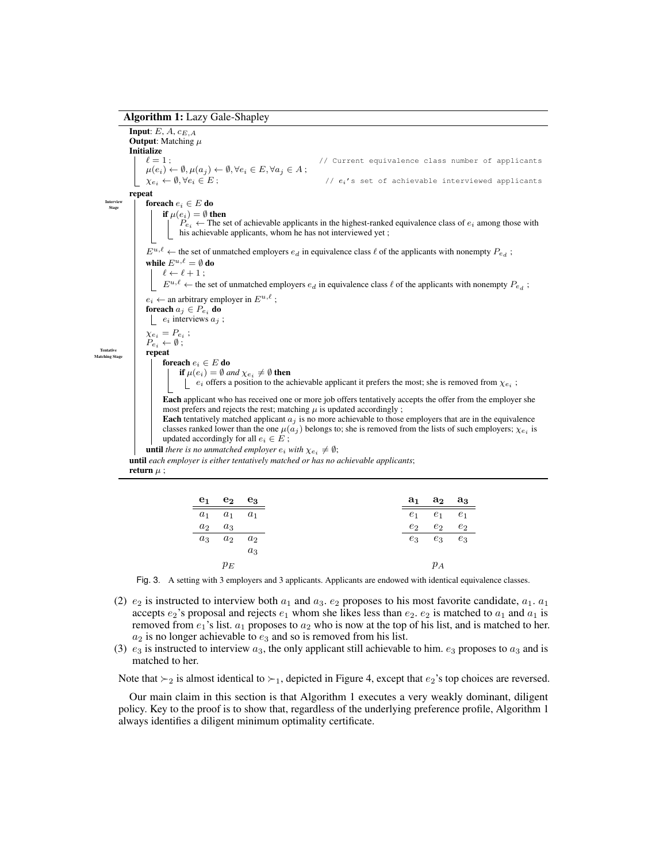#### Algorithm 1: Lazy Gale-Shapley

**Input:**  $E$ ,  $A$ ,  $c_{E.A}$ **Output:** Matching  $\mu$ **Initialize**<br> $\ell = 1$ : // Current equivalence class number of applicants  $\mu(e_i) \leftarrow \emptyset, \mu(a_j) \leftarrow \emptyset, \forall e_i \in E, \forall a_j \in A;$  $\chi_{e_i} \leftarrow \emptyset, \forall e_i \in E;$  //  $e_i$ 's set of achievable interviewed applicants repeat Intervie<br>Stage foreach  $e_i \in E$ do if  $\mu(e_i)=\emptyset$  then  $P_{e_i}$  ← The set of achievable applicants in the highest-ranked equivalence class of  $e_i$  among those with his achievable applicants, whom he has not interviewed yet ;  $E^{u,\ell}$   $\leftarrow$  the set of unmatched employers  $e_d$  in equivalence class  $\ell$  of the applicants with nonempty  $P_{e_d}$ ; while  $E^{u,\ell} = \emptyset$  do  $\ell \leftarrow \ell + 1$ ;  $E^{u,\ell}$   $\leftarrow$  the set of unmatched employers  $e_d$  in equivalence class  $\ell$  of the applicants with nonempty  $P_{e_d}$ ;  $e_i \leftarrow$  an arbitrary employer in  $E^{u,\ell}$ ; foreach  $a_j \in P_{e_i}$  do |  $e_i$  interviews  $a_i$ ;  $\chi_{e_i}=P_{e_i}$ ;  $P_{e_i} \leftarrow \emptyset$ ; Tentative<br>Matching Sta repeat foreach  $e_i \in E$  do **if**  $\mu(e_i) = \emptyset$  and  $\chi_{e_i} \neq \emptyset$  **then**  $e_i$  offers a position to the achievable applicant it prefers the most; she is removed from  $\chi_{e_i}$ ; Each applicant who has received one or more job offers tentatively accepts the offer from the employer she most prefers and rejects the rest; matching  $\mu$  is updated accordingly; Each tentatively matched applicant  $a_j$  is no more achievable to those employers that are in the equivalence classes ranked lower than the one  $\mu(a_j)$  belongs to; she is removed from the lists of such employers;  $\chi_{e_i}$  is updated accordingly for all  $e_i \in E$ ; **until** there is no unmatched employer  $e_i$  with  $\chi_{e_i} \neq \emptyset$ ; until *each employer is either tentatively matched or has no achievable applicants*; return  $\mu$  :

| $e_1$ $e_2$ $e_3$         |       |       | $a_1$ $a_2$ $a_3$ |
|---------------------------|-------|-------|-------------------|
| $a_1 \quad a_1 \quad a_1$ |       |       | $e_1$ $e_1$ $e_1$ |
| $a_2 \quad a_3$           |       | $e_2$ | $e_2$             |
| $a_3 \quad a_2 \quad a_2$ |       |       | $e_3$ $e_3$ $e_3$ |
|                           | $a_3$ |       |                   |
| $p_E$                     |       |       | $p_A$             |

Fig. 3. A setting with 3 employers and 3 applicants. Applicants are endowed with identical equivalence classes.

- (2)  $e_2$  is instructed to interview both  $a_1$  and  $a_3$ .  $e_2$  proposes to his most favorite candidate,  $a_1$ .  $a_1$ accepts  $e_2$ 's proposal and rejects  $e_1$  whom she likes less than  $e_2$ .  $e_2$  is matched to  $a_1$  and  $a_1$  is removed from  $e_1$ 's list.  $a_1$  proposes to  $a_2$  who is now at the top of his list, and is matched to her.  $a_2$  is no longer achievable to  $e_3$  and so is removed from his list.
- (3)  $e_3$  is instructed to interview  $a_3$ , the only applicant still achievable to him.  $e_3$  proposes to  $a_3$  and is matched to her.

Note that  $\succ_2$  is almost identical to  $\succ_1$ , depicted in Figure 4, except that  $e_2$ 's top choices are reversed.

Our main claim in this section is that Algorithm 1 executes a very weakly dominant, diligent policy. Key to the proof is to show that, regardless of the underlying preference profile, Algorithm 1 always identifies a diligent minimum optimality certificate.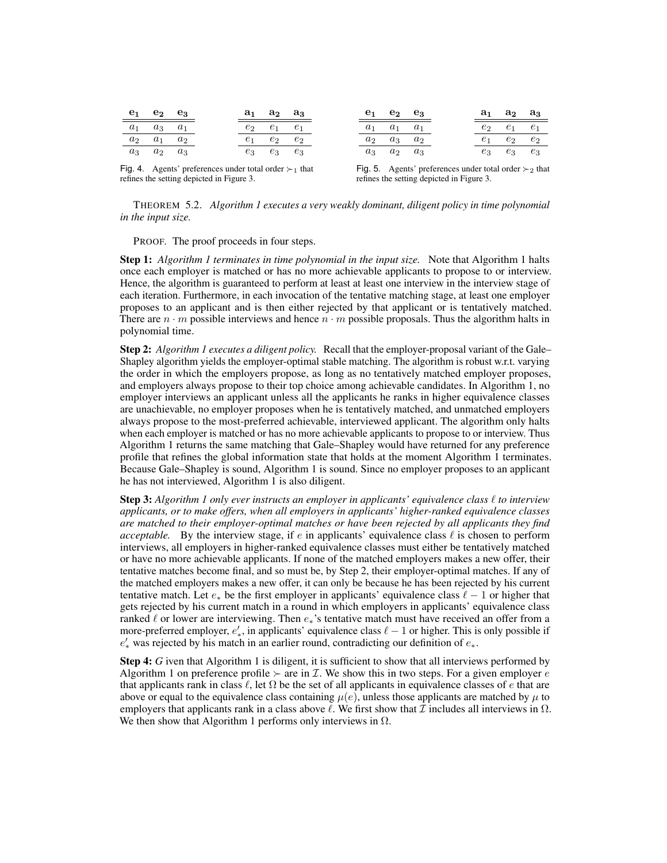| $e_1$ $e_2$ $e_3$         |  | $a_1$ $a_2$ $a_3$ |  | $e_1$ $e_2$ $e_3$         |  | $a_1$ $a_2$ $a_3$ |  |
|---------------------------|--|-------------------|--|---------------------------|--|-------------------|--|
| $a_1 \quad a_3 \quad a_1$ |  | $e_2$ $e_1$ $e_1$ |  | $a_1 \quad a_1 \quad a_1$ |  | $e_2$ $e_1$ $e_1$ |  |
| $a_2 \quad a_1 \quad a_2$ |  | $e_1$ $e_2$ $e_2$ |  | $a_2 \quad a_3 \quad a_2$ |  | $e_1$ $e_2$ $e_2$ |  |
| $a_3 \quad a_2 \quad a_3$ |  | $e_3$ $e_3$ $e_3$ |  | $a_3 \quad a_2 \quad a_3$ |  | $e_3$ $e_3$ $e_3$ |  |

Fig. 4. Agents' preferences under total order  $\succ_1$  that refines the setting depicted in Figure 3.

Fig. 5. Agents' preferences under total order  $\succ_2$  that refines the setting depicted in Figure 3.

THEOREM 5.2. *Algorithm 1 executes a very weakly dominant, diligent policy in time polynomial in the input size.*

PROOF. The proof proceeds in four steps.

Step 1: *Algorithm 1 terminates in time polynomial in the input size.* Note that Algorithm 1 halts once each employer is matched or has no more achievable applicants to propose to or interview. Hence, the algorithm is guaranteed to perform at least at least one interview in the interview stage of each iteration. Furthermore, in each invocation of the tentative matching stage, at least one employer proposes to an applicant and is then either rejected by that applicant or is tentatively matched. There are  $n \cdot m$  possible interviews and hence  $n \cdot m$  possible proposals. Thus the algorithm halts in polynomial time.

Step 2: *Algorithm 1 executes a diligent policy.* Recall that the employer-proposal variant of the Gale– Shapley algorithm yields the employer-optimal stable matching. The algorithm is robust w.r.t. varying the order in which the employers propose, as long as no tentatively matched employer proposes, and employers always propose to their top choice among achievable candidates. In Algorithm 1, no employer interviews an applicant unless all the applicants he ranks in higher equivalence classes are unachievable, no employer proposes when he is tentatively matched, and unmatched employers always propose to the most-preferred achievable, interviewed applicant. The algorithm only halts when each employer is matched or has no more achievable applicants to propose to or interview. Thus Algorithm 1 returns the same matching that Gale–Shapley would have returned for any preference profile that refines the global information state that holds at the moment Algorithm 1 terminates. Because Gale–Shapley is sound, Algorithm 1 is sound. Since no employer proposes to an applicant he has not interviewed, Algorithm 1 is also diligent.

**Step 3:** Algorithm 1 only ever instructs an employer in applicants' equivalence class  $\ell$  to interview *applicants, or to make offers, when all employers in applicants' higher-ranked equivalence classes are matched to their employer-optimal matches or have been rejected by all applicants they find acceptable.* By the interview stage, if e in applicants' equivalence class  $\ell$  is chosen to perform interviews, all employers in higher-ranked equivalence classes must either be tentatively matched or have no more achievable applicants. If none of the matched employers makes a new offer, their tentative matches become final, and so must be, by Step 2, their employer-optimal matches. If any of the matched employers makes a new offer, it can only be because he has been rejected by his current tentative match. Let  $e_*$  be the first employer in applicants' equivalence class  $\ell - 1$  or higher that gets rejected by his current match in a round in which employers in applicants' equivalence class ranked  $\ell$  or lower are interviewing. Then  $e_*$ 's tentative match must have received an offer from a more-preferred employer,  $e'_*$ , in applicants' equivalence class  $\ell - 1$  or higher. This is only possible if  $e'_{*}$  was rejected by his match in an earlier round, contradicting our definition of  $e_{*}$ .

**Step 4:** *G* iven that Algorithm 1 is diligent, it is sufficient to show that all interviews performed by Algorithm 1 on preference profile  $\succ$  are in *I*. We show this in two steps. For a given employer e that applicants rank in class  $\ell$ , let  $\Omega$  be the set of all applicants in equivalence classes of e that are above or equal to the equivalence class containing  $\mu(e)$ , unless those applicants are matched by  $\mu$  to employers that applicants rank in a class above  $\ell$ . We first show that  $\mathcal I$  includes all interviews in  $\Omega$ . We then show that Algorithm 1 performs only interviews in  $\Omega$ .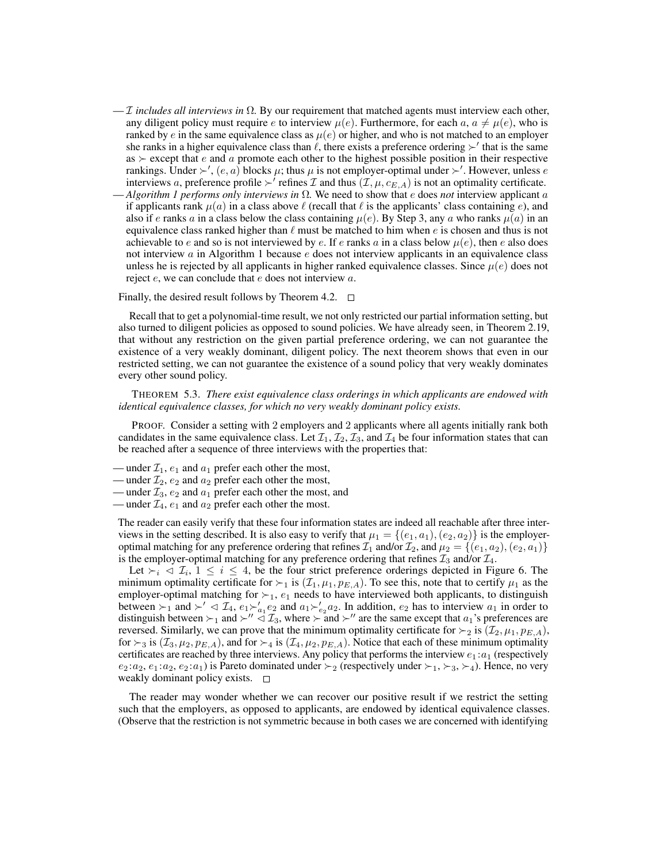- I *includes all interviews in* Ω*.* By our requirement that matched agents must interview each other, any diligent policy must require e to interview  $\mu(e)$ . Furthermore, for each  $a, a \neq \mu(e)$ , who is ranked by e in the same equivalence class as  $\mu(e)$  or higher, and who is not matched to an employer she ranks in a higher equivalence class than  $\ell$ , there exists a preference ordering  $\succ'$  that is the same as  $\succ$  except that e and a promote each other to the highest possible position in their respective rankings. Under  $\succ'$ ,  $(e, a)$  blocks  $\mu$ ; thus  $\mu$  is not employer-optimal under  $\succ'$ . However, unless  $e$ interviews a, preference profile  $\succ'$  refines  $\mathcal I$  and thus  $(\mathcal I, \mu, c_{E,A})$  is not an optimality certificate.
- *Algorithm 1 performs only interviews in*  $\Omega$ . We need to show that *e* does *not* interview applicant *a* if applicants rank  $\mu(a)$  in a class above  $\ell$  (recall that  $\ell$  is the applicants' class containing e), and also if e ranks a in a class below the class containing  $\mu(e)$ . By Step 3, any a who ranks  $\mu(a)$  in an equivalence class ranked higher than  $\ell$  must be matched to him when e is chosen and thus is not achievable to e and so is not interviewed by e. If e ranks a in a class below  $\mu(e)$ , then e also does not interview  $a$  in Algorithm 1 because  $e$  does not interview applicants in an equivalence class unless he is rejected by all applicants in higher ranked equivalence classes. Since  $\mu(e)$  does not reject e, we can conclude that e does not interview a.

Finally, the desired result follows by Theorem 4.2.  $\Box$ 

Recall that to get a polynomial-time result, we not only restricted our partial information setting, but also turned to diligent policies as opposed to sound policies. We have already seen, in Theorem 2.19, that without any restriction on the given partial preference ordering, we can not guarantee the existence of a very weakly dominant, diligent policy. The next theorem shows that even in our restricted setting, we can not guarantee the existence of a sound policy that very weakly dominates every other sound policy.

THEOREM 5.3. *There exist equivalence class orderings in which applicants are endowed with identical equivalence classes, for which no very weakly dominant policy exists.*

PROOF. Consider a setting with 2 employers and 2 applicants where all agents initially rank both candidates in the same equivalence class. Let  $\mathcal{I}_1, \mathcal{I}_2, \mathcal{I}_3$ , and  $\mathcal{I}_4$  be four information states that can be reached after a sequence of three interviews with the properties that:

- under  $\mathcal{I}_1$ ,  $e_1$  and  $a_1$  prefer each other the most,
- under  $\mathcal{I}_2$ ,  $e_2$  and  $a_2$  prefer each other the most,
- under  $\mathcal{I}_3$ ,  $e_2$  and  $a_1$  prefer each other the most, and
- under  $\mathcal{I}_4$ ,  $e_1$  and  $a_2$  prefer each other the most.

The reader can easily verify that these four information states are indeed all reachable after three interviews in the setting described. It is also easy to verify that  $\mu_1 = \{(e_1, a_1), (e_2, a_2)\}$  is the employeroptimal matching for any preference ordering that refines  $\mathcal{I}_1$  and/or  $\mathcal{I}_2$ , and  $\mu_2 = \{(e_1, a_2), (e_2, a_1)\}\$ is the employer-optimal matching for any preference ordering that refines  $\mathcal{I}_3$  and/or  $\mathcal{I}_4$ .

Let  $\succ_i \prec \mathcal{I}_i$ ,  $1 \leq i \leq 4$ , be the four strict preference orderings depicted in Figure 6. The minimum optimality certificate for  $\succ_1$  is  $(\mathcal{I}_1, \mu_1, p_{E,A})$ . To see this, note that to certify  $\mu_1$  as the employer-optimal matching for  $\succ_1$ ,  $e_1$  needs to have interviewed both applicants, to distinguish between  $\succ_1$  and  $\succ' \lhd \mathcal{I}_4$ ,  $e_1 \succ'_{a_1} e_2$  and  $a_1 \succ'_{e_2} a_2$ . In addition,  $e_2$  has to interview  $a_1$  in order to distinguish between  $\succ_1$  and  $\succ'' \stackrel{\sim}{\triangleleft} \mathcal{I}_3$ , where  $\succ$  and  $\succ''$  are the same except that  $a_1$ 's preferences are reversed. Similarly, we can prove that the minimum optimality certificate for  $\succ_2$  is  $(\mathcal{I}_2, \mu_1, p_{E,A})$ , for  $\succ_3$  is  $(\mathcal{I}_3, \mu_2, p_{E,A})$ , and for  $\succ_4$  is  $(\mathcal{I}_4, \mu_2, p_{E,A})$ . Notice that each of these minimum optimality certificates are reached by three interviews. Any policy that performs the interview  $e_1 : a_1$  (respectively  $e_2 : a_2, e_1 : a_2, e_2 : a_1$  is Pareto dominated under  $\succ_2$  (respectively under  $\succ_1, \succ_3, \succ_4$ ). Hence, no very weakly dominant policy exists.  $\square$ 

The reader may wonder whether we can recover our positive result if we restrict the setting such that the employers, as opposed to applicants, are endowed by identical equivalence classes. (Observe that the restriction is not symmetric because in both cases we are concerned with identifying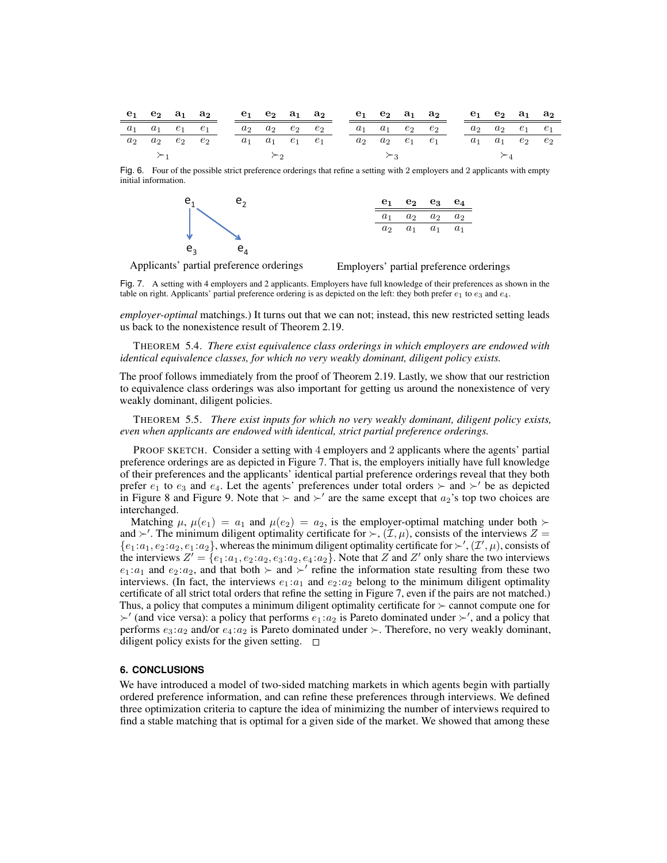|  | $e_1$ $e_2$ $a_1$ $a_2$             |  |  |  | $e_1$ $e_2$ $a_1$ $a_2$             |  |  | $e_1$ $e_2$ $a_1$ $a_2$             |  |  | $e_1$ $e_2$ $a_1$ $a_2$             |       |
|--|-------------------------------------|--|--|--|-------------------------------------|--|--|-------------------------------------|--|--|-------------------------------------|-------|
|  | $a_1 \quad a_1 \quad e_1 \quad e_1$ |  |  |  | $a_2 \quad a_2 \quad e_2 \quad e_2$ |  |  | $a_1 \quad a_1 \quad e_2 \quad e_2$ |  |  | $a_2 \quad a_2 \quad e_1 \quad e_1$ |       |
|  | $a_2 \quad a_2 \quad e_2 \quad e_2$ |  |  |  | $a_1 \quad a_1 \quad e_1 \quad e_1$ |  |  | $a_2 \quad a_2 \quad e_1 \quad e_1$ |  |  | $a_1 \quad a_1 \quad e_2$           | $e_2$ |
|  |                                     |  |  |  |                                     |  |  |                                     |  |  |                                     |       |

Fig. 6. Four of the possible strict preference orderings that refine a setting with 2 employers and 2 applicants with empty initial information.



Applicants' partial preference orderings

Employers' partial preference orderings

Fig. 7. A setting with 4 employers and 2 applicants. Employers have full knowledge of their preferences as shown in the table on right. Applicants' partial preference ordering is as depicted on the left: they both prefer  $e_1$  to  $e_3$  and  $e_4$ .

*employer-optimal* matchings.) It turns out that we can not; instead, this new restricted setting leads us back to the nonexistence result of Theorem 2.19.

THEOREM 5.4. *There exist equivalence class orderings in which employers are endowed with identical equivalence classes, for which no very weakly dominant, diligent policy exists.*

The proof follows immediately from the proof of Theorem 2.19. Lastly, we show that our restriction to equivalence class orderings was also important for getting us around the nonexistence of very weakly dominant, diligent policies.

THEOREM 5.5. *There exist inputs for which no very weakly dominant, diligent policy exists, even when applicants are endowed with identical, strict partial preference orderings.*

PROOF SKETCH. Consider a setting with 4 employers and 2 applicants where the agents' partial preference orderings are as depicted in Figure 7. That is, the employers initially have full knowledge of their preferences and the applicants' identical partial preference orderings reveal that they both prefer  $e_1$  to  $e_3$  and  $e_4$ . Let the agents' preferences under total orders  $\succ$  and  $\succ'$  be as depicted in Figure 8 and Figure 9. Note that  $\succ$  and  $\succ'$  are the same except that  $a_2$ 's top two choices are interchanged.

Matching  $\mu$ ,  $\mu(e_1) = a_1$  and  $\mu(e_2) = a_2$ , is the employer-optimal matching under both  $\succ$ and  $\succ'$ . The minimum diligent optimality certificate for  $\succ$ ,  $(\mathcal{I}, \mu)$ , consists of the interviews  $Z =$  $\{e_1 : a_1, e_2 : a_2, e_1 : a_2\}$ , whereas the minimum diligent optimality certificate for  $\succ'$ ,  $(\mathcal{I}', \mu)$ , consists of the interviews  $Z' = \{e_1 : a_1, e_2 : a_2, e_3 : a_2, e_4 : a_2\}$ . Note that Z and Z' only share the two interviews  $e_1 : a_1$  and  $e_2 : a_2$ , and that both  $\succ$  and  $\succ'$  refine the information state resulting from these two interviews. (In fact, the interviews  $e_1 : a_1$  and  $e_2 : a_2$  belong to the minimum diligent optimality certificate of all strict total orders that refine the setting in Figure 7, even if the pairs are not matched.) Thus, a policy that computes a minimum diligent optimality certificate for  $\succ$  cannot compute one for  $\succ'$  (and vice versa): a policy that performs  $e_1 : a_2$  is Pareto dominated under  $\succ'$ , and a policy that performs  $e_3 : a_2$  and/or  $e_4 : a_2$  is Pareto dominated under  $\succ$ . Therefore, no very weakly dominant, diligent policy exists for the given setting.  $\square$ 

### **6. CONCLUSIONS**

We have introduced a model of two-sided matching markets in which agents begin with partially ordered preference information, and can refine these preferences through interviews. We defined three optimization criteria to capture the idea of minimizing the number of interviews required to find a stable matching that is optimal for a given side of the market. We showed that among these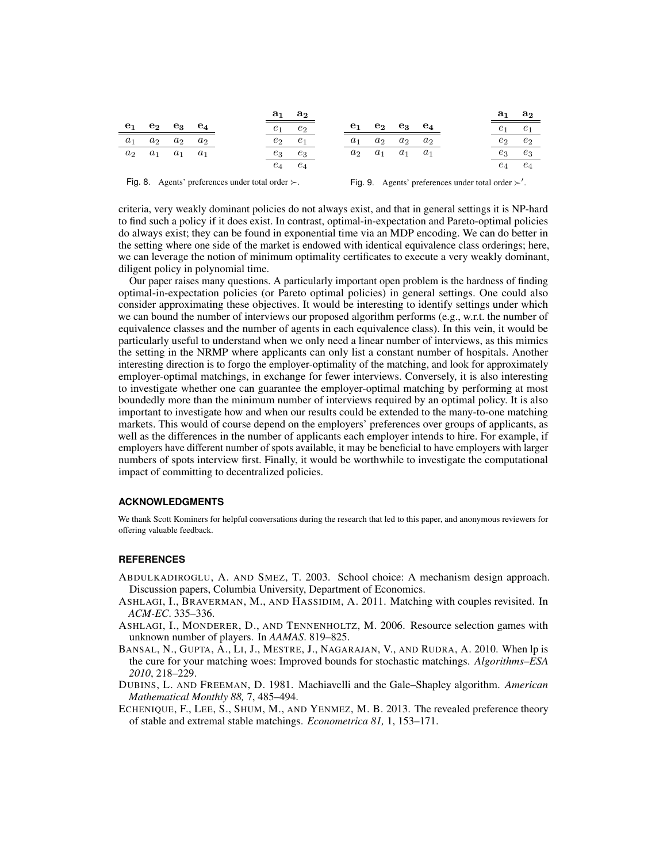|                  |                           |                 |  |       | $a_1 \quad a_2$ |       |                                     |                           |  | $a_1$ | a <sub>2</sub> |
|------------------|---------------------------|-----------------|--|-------|-----------------|-------|-------------------------------------|---------------------------|--|-------|----------------|
| $\mathbf{e_{1}}$ | $e_2$ $e_3$ $e_4$         |                 |  | $e_1$ | $e_2$           | $e_1$ |                                     | $e_2$ $e_3$ $e_4$         |  | $e_1$ | e <sub>1</sub> |
| $a_1$            | $a_2$                     | $a_2 \quad a_2$ |  | $e_2$ | $e_1$           | $a_1$ |                                     | $a_2 \quad a_2 \quad a_2$ |  | $e_2$ | $e_2$          |
| $a_2$            | $a_1 \quad a_1 \quad a_1$ |                 |  | $e_3$ | $e_3$           |       | $a_2 \quad a_1 \quad a_1 \quad a_1$ |                           |  | $e_3$ | $e_3$          |
|                  |                           |                 |  | $e_4$ | $e_4$           |       |                                     |                           |  | $e_4$ | $e_4$          |

Fig. 8. Agents' preferences under total order  $\succ$ .

Fig. 9. Agents' preferences under total order  $\succ'$ .

criteria, very weakly dominant policies do not always exist, and that in general settings it is NP-hard to find such a policy if it does exist. In contrast, optimal-in-expectation and Pareto-optimal policies do always exist; they can be found in exponential time via an MDP encoding. We can do better in the setting where one side of the market is endowed with identical equivalence class orderings; here, we can leverage the notion of minimum optimality certificates to execute a very weakly dominant, diligent policy in polynomial time.

Our paper raises many questions. A particularly important open problem is the hardness of finding optimal-in-expectation policies (or Pareto optimal policies) in general settings. One could also consider approximating these objectives. It would be interesting to identify settings under which we can bound the number of interviews our proposed algorithm performs (e.g., w.r.t. the number of equivalence classes and the number of agents in each equivalence class). In this vein, it would be particularly useful to understand when we only need a linear number of interviews, as this mimics the setting in the NRMP where applicants can only list a constant number of hospitals. Another interesting direction is to forgo the employer-optimality of the matching, and look for approximately employer-optimal matchings, in exchange for fewer interviews. Conversely, it is also interesting to investigate whether one can guarantee the employer-optimal matching by performing at most boundedly more than the minimum number of interviews required by an optimal policy. It is also important to investigate how and when our results could be extended to the many-to-one matching markets. This would of course depend on the employers' preferences over groups of applicants, as well as the differences in the number of applicants each employer intends to hire. For example, if employers have different number of spots available, it may be beneficial to have employers with larger numbers of spots interview first. Finally, it would be worthwhile to investigate the computational impact of committing to decentralized policies.

# **ACKNOWLEDGMENTS**

We thank Scott Kominers for helpful conversations during the research that led to this paper, and anonymous reviewers for offering valuable feedback.

#### **REFERENCES**

- ABDULKADIROGLU, A. AND SMEZ, T. 2003. School choice: A mechanism design approach. Discussion papers, Columbia University, Department of Economics.
- ASHLAGI, I., BRAVERMAN, M., AND HASSIDIM, A. 2011. Matching with couples revisited. In *ACM-EC*. 335–336.
- ASHLAGI, I., MONDERER, D., AND TENNENHOLTZ, M. 2006. Resource selection games with unknown number of players. In *AAMAS*. 819–825.
- BANSAL, N., GUPTA, A., LI, J., MESTRE, J., NAGARAJAN, V., AND RUDRA, A. 2010. When lp is the cure for your matching woes: Improved bounds for stochastic matchings. *Algorithms–ESA 2010*, 218–229.
- DUBINS, L. AND FREEMAN, D. 1981. Machiavelli and the Gale–Shapley algorithm. *American Mathematical Monthly 88,* 7, 485–494.
- ECHENIQUE, F., LEE, S., SHUM, M., AND YENMEZ, M. B. 2013. The revealed preference theory of stable and extremal stable matchings. *Econometrica 81,* 1, 153–171.